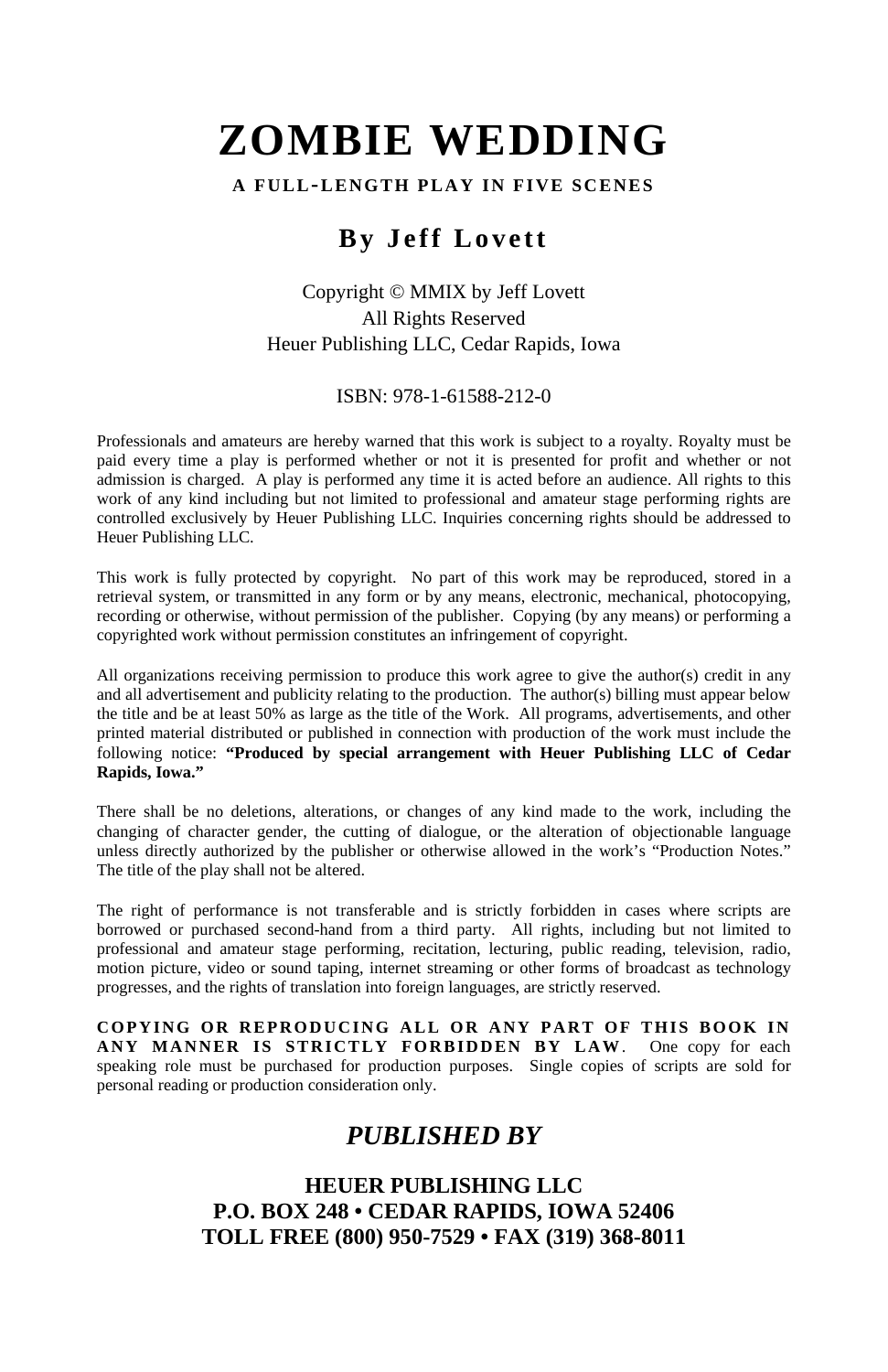#### **A FULL-LENGTH PLAY IN FIVE SCENES**

# **By Jeff Lovett**

## Copyright © MMIX by Jeff Lovett All Rights Reserved Heuer Publishing LLC, Cedar Rapids, Iowa

ISBN: 978-1-61588-212-0

Professionals and amateurs are hereby warned that this work is subject to a royalty. Royalty must be paid every time a play is performed whether or not it is presented for profit and whether or not admission is charged. A play is performed any time it is acted before an audience. All rights to this work of any kind including but not limited to professional and amateur stage performing rights are controlled exclusively by Heuer Publishing LLC. Inquiries concerning rights should be addressed to Heuer Publishing LLC.

This work is fully protected by copyright. No part of this work may be reproduced, stored in a retrieval system, or transmitted in any form or by any means, electronic, mechanical, photocopying, recording or otherwise, without permission of the publisher. Copying (by any means) or performing a copyrighted work without permission constitutes an infringement of copyright.

All organizations receiving permission to produce this work agree to give the author(s) credit in any and all advertisement and publicity relating to the production. The author(s) billing must appear below the title and be at least 50% as large as the title of the Work. All programs, advertisements, and other printed material distributed or published in connection with production of the work must include the following notice: **"Produced by special arrangement with Heuer Publishing LLC of Cedar Rapids, Iowa."**

There shall be no deletions, alterations, or changes of any kind made to the work, including the changing of character gender, the cutting of dialogue, or the alteration of objectionable language unless directly authorized by the publisher or otherwise allowed in the work's "Production Notes." The title of the play shall not be altered.

The right of performance is not transferable and is strictly forbidden in cases where scripts are borrowed or purchased second-hand from a third party. All rights, including but not limited to professional and amateur stage performing, recitation, lecturing, public reading, television, radio, motion picture, video or sound taping, internet streaming or other forms of broadcast as technology progresses, and the rights of translation into foreign languages, are strictly reserved.

**COPYING OR REPRODUCING ALL OR ANY PART OF THIS BOOK IN ANY MANNER IS STRICTLY FORBIDDEN BY LAW**. One copy for each speaking role must be purchased for production purposes. Single copies of scripts are sold for personal reading or production consideration only.

# *PUBLISHED BY*

#### **HEUER PUBLISHING LLC P.O. BOX 248 • CEDAR RAPIDS, IOWA 52406 TOLL FREE (800) 950-7529 • FAX (319) 368-8011**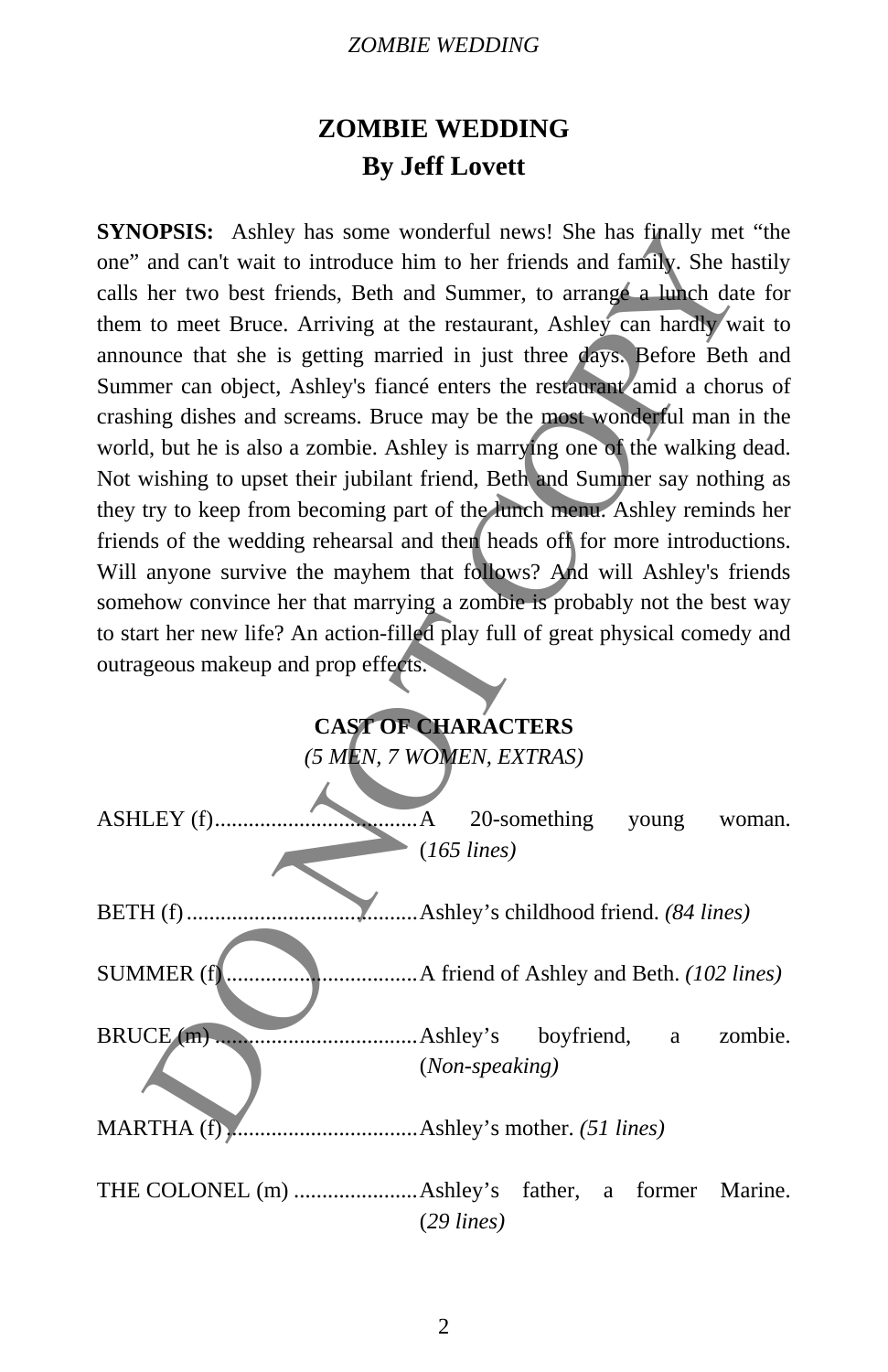# **ZOMBIE WEDDING By Jeff Lovett**

**SYNOPSIS:** Ashley has some wonderful news! She has finally met "the one" and can't wait to introduce him to her friends and family. She hastily calls her two best friends, Beth and Summer, to arrange a lunch date for them to meet Bruce. Arriving at the restaurant, Ashley can hardly wait to announce that she is getting married in just three days. Before Beth and Summer can object, Ashley's fiancé enters the restaurant amid a chorus of crashing dishes and screams. Bruce may be the most wonderful man in the world, but he is also a zombie. Ashley is marrying one of the walking dead. Not wishing to upset their jubilant friend, Beth and Summer say nothing as they try to keep from becoming part of the lunch menu. Ashley reminds her friends of the wedding rehearsal and then heads off for more introductions. Will anyone survive the mayhem that follows? And will Ashley's friends somehow convince her that marrying a zombie is probably not the best way to start her new life? An action-filled play full of great physical comedy and outrageous makeup and prop effects. **OPSIS:** Asshey has some wondertul news! She has finally met<br>and can't wait to introduce him to her friends and family. She has<br>her two best friends, Beth and Summer, to arrange a lunch dat<br>to meet Bruce. Arriving at the

# **CAST OF CHARACTERS**

*(5 MEN, 7 WOMEN, EXTRAS)* 

| $k_1, \ldots, A$  | 20-something<br>young woman.          |
|-------------------|---------------------------------------|
|                   | $(165$ lines)                         |
|                   | Ashley's childhood friend. (84 lines) |
| <b>SUMMER</b> (f) |                                       |
|                   | $(Non-speaking)$                      |
|                   |                                       |
|                   | $(29$ lines)                          |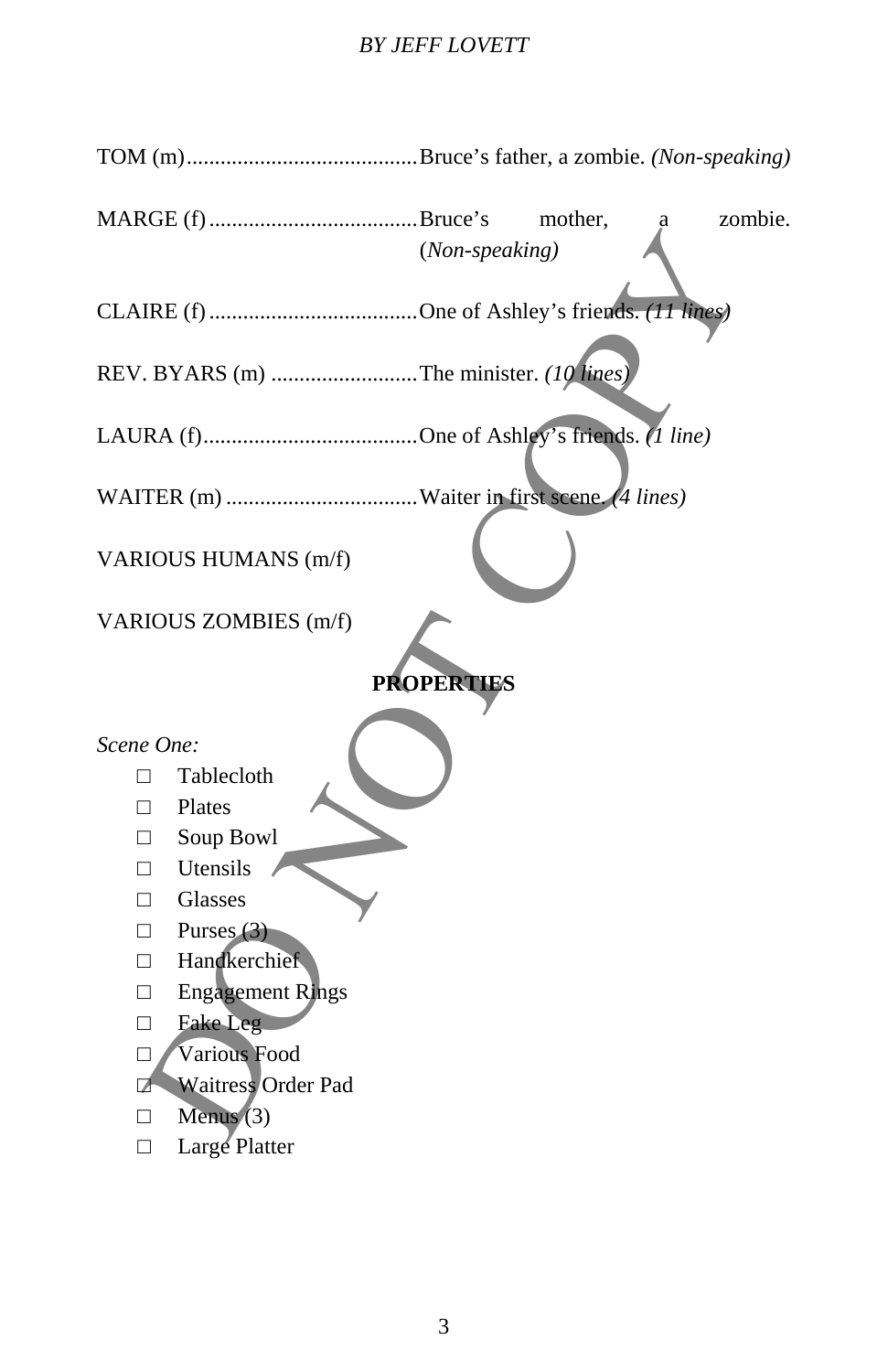# *BY JEFF LOVETT*

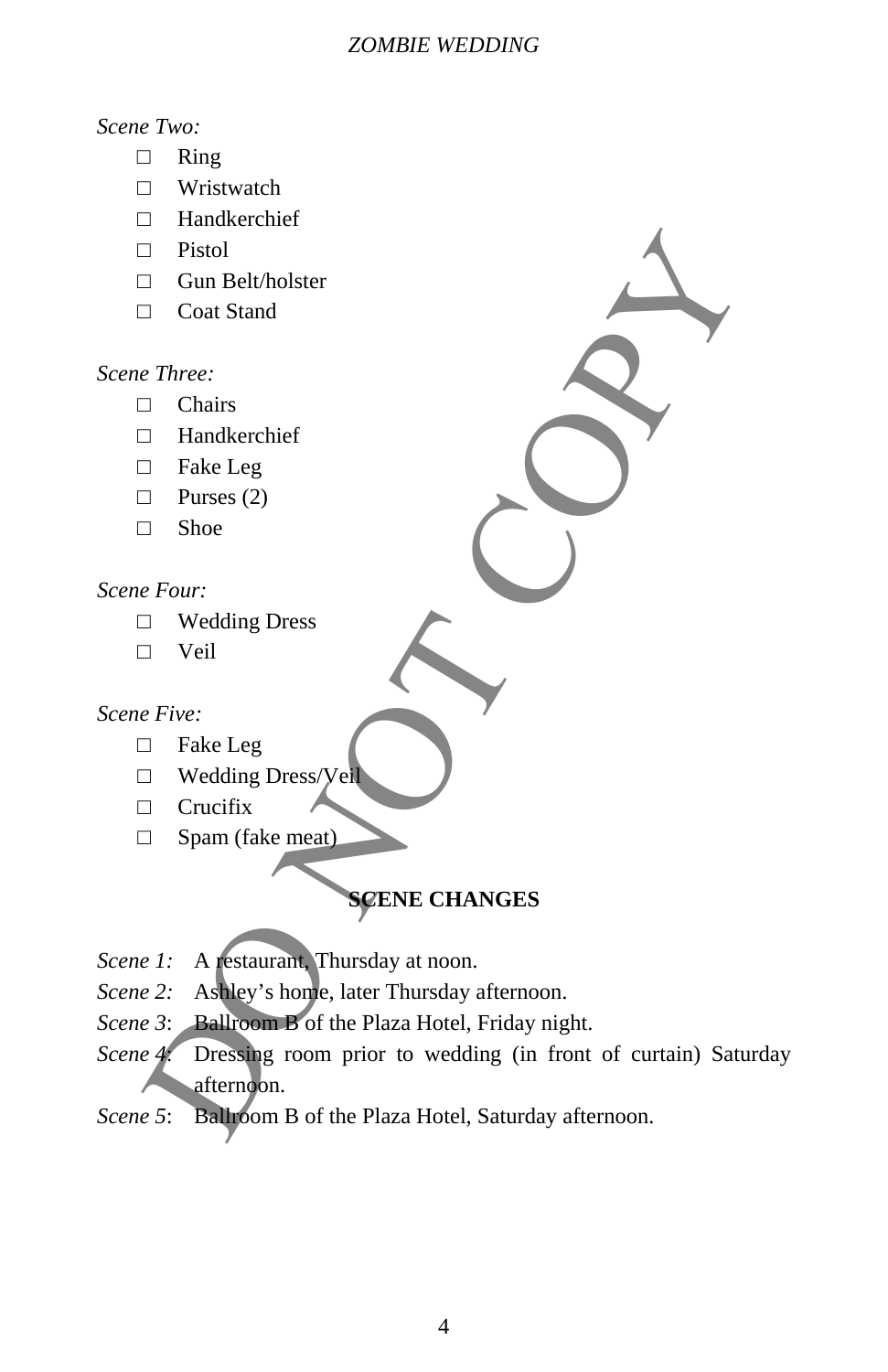### *Scene Two:*

- □ Ring
- □ Wristwatch
- □ Handkerchief
- □ Pistol
- □ Gun Belt/holster
- □ Coat Stand

# *Scene Three:*

- □ Chairs
- □ Handkerchief
- □ Fake Leg
- □ Purses (2)
- □ Shoe

# *Scene Four:*

- □ Wedding Dress
- □ Veil

# *Scene Five:*

- □ Fake Leg
- □ Wedding Dress/Veil
- □ Crucifix
- □ Spam (fake meat)

# **SCENE CHANGES**

- *Scene 1:* A restaurant, Thursday at noon.
- *Scene 2:* Ashley's home, later Thursday afternoon.
- *Scene 3*: Ballroom B of the Plaza Hotel, Friday night.
- *Scene 4*: Dressing room prior to wedding (in front of curtain) Saturday afternoon. D<br>
Distribution<br>
Content Stand<br>
Content Stand<br>
C<br>
Three:<br>
Decrease (2)<br>
Distribution<br>
Purses (2)<br>
Distribution<br>
Purses (2)<br>
Distribution<br>
Purses (2)<br>
Distribution<br>
Purses (2)<br>
Distribution<br>
Purses (2)<br>
Distribution<br>
Pur
- *Scene 5*: Ballroom B of the Plaza Hotel, Saturday afternoon.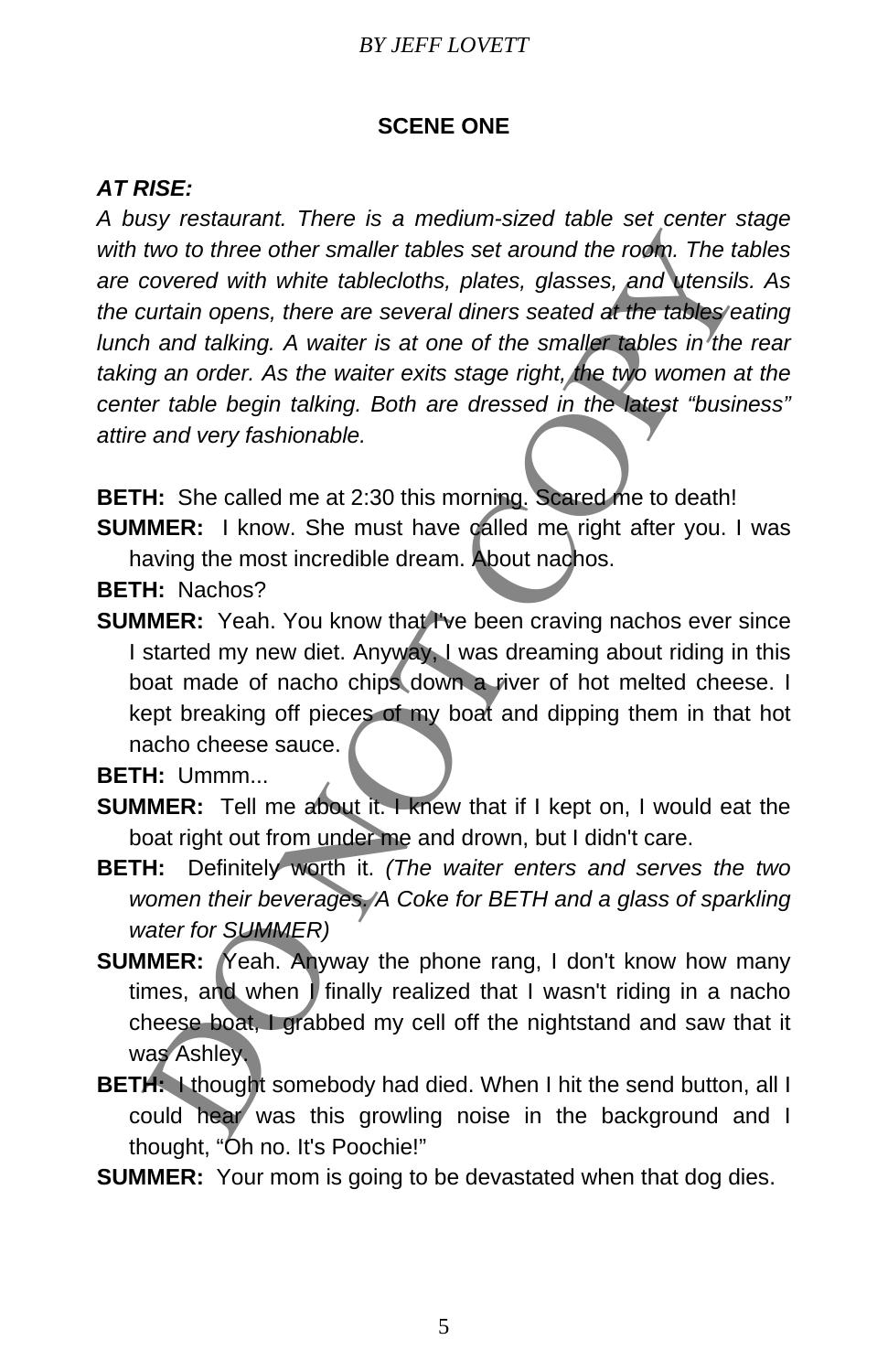## *BY JEFF LOVETT*

## **SCENE ONE**

## *AT RISE:*

*A busy restaurant. There is a medium-sized table set center stage with two to three other smaller tables set around the room. The tables are covered with white tablecloths, plates, glasses, and utensils. As the curtain opens, there are several diners seated at the tables eating lunch and talking. A waiter is at one of the smaller tables in*<sup>7</sup>the rear *taking an order. As the waiter exits stage right, the two women at the center table begin talking. Both are dressed in the latest "business" attire and very fashionable.*  In the content of the translation of the matter and the content of the section of the section of the section of the section of the section of the section of the section of the section of the section of the section of the s

**BETH:** She called me at 2:30 this morning. Scared me to death!

**SUMMER:** I know. She must have called me right after you. I was having the most incredible dream. About nachos.

**BETH:** Nachos?

**SUMMER:** Yeah. You know that I've been craving nachos ever since I started my new diet. Anyway, I was dreaming about riding in this boat made of nacho chips down a river of hot melted cheese. I kept breaking off pieces of my boat and dipping them in that hot nacho cheese sauce.

**BETH:** Ummm...

- **SUMMER:** Tell me about it. I knew that if I kept on, I would eat the boat right out from under me and drown, but I didn't care.
- **BETH:** Definitely worth it. *(The waiter enters and serves the two women their beverages. A Coke for BETH and a glass of sparkling water for SUMMER)*
- **SUMMER:** Yeah. Anyway the phone rang, I don't know how many times, and when *I* finally realized that I wasn't riding in a nacho cheese boat, I grabbed my cell off the nightstand and saw that it was Ashley.
- **BETH:** I thought somebody had died. When I hit the send button, all I could hear was this growling noise in the background and I thought, "Oh no. It's Poochie!"
- **SUMMER:** Your mom is going to be devastated when that dog dies.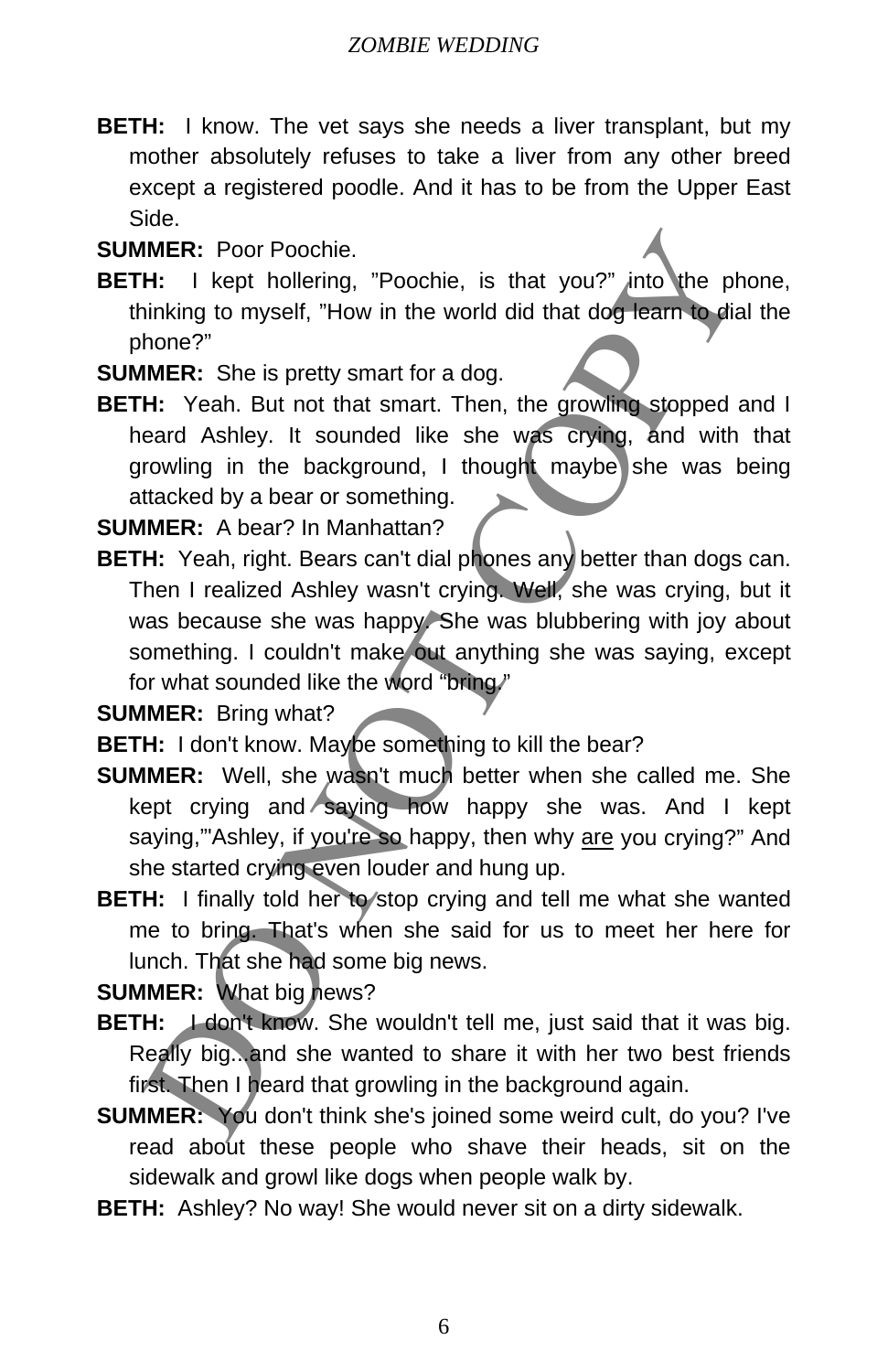- **BETH:** I know. The vet says she needs a liver transplant, but my mother absolutely refuses to take a liver from any other breed except a registered poodle. And it has to be from the Upper East Side.
- **SUMMER:** Poor Poochie.
- **BETH:** I kept hollering, "Poochie, is that you?" into the phone, thinking to myself, "How in the world did that dog learn to dial the phone?"

**SUMMER:** She is pretty smart for a dog.

**BETH:** Yeah. But not that smart. Then, the growling stopped and I heard Ashley. It sounded like she was crying, and with that growling in the background, I thought maybe she was being attacked by a bear or something.

**SUMMER:** A bear? In Manhattan?

**BETH:** Yeah, right. Bears can't dial phones any better than dogs can. Then I realized Ashley wasn't crying. Well, she was crying, but it was because she was happy. She was blubbering with joy about something. I couldn't make out anything she was saying, except for what sounded like the word "bring." IMER: Poor Poochie.<br>
H: I kept hollering, "Poochie, is that you?" into the ph<br>
inhing to myself, "How in the world did that dog team to dia<br>
hone?"<br>
Nome?"<br>
IMER: She is pretty smart for a dog.<br>
H: Yeah. But not that smart

**SUMMER:** Bring what?

- **BETH:** I don't know. Maybe something to kill the bear?
- **SUMMER:** Well, she wasn't much better when she called me. She kept crying and saying how happy she was. And I kept saying,"'Ashley, if you're so happy, then why are you crying?" And she started crying even louder and hung up.
- **BETH:** I finally told her to stop crying and tell me what she wanted me to bring. That's when she said for us to meet her here for lunch. That she had some big news.

**SUMMER:** What big news?

- **BETH:** *I* don't know. She wouldn't tell me, just said that it was big. Really big...and she wanted to share it with her two best friends first. Then I heard that growling in the background again.
- **SUMMER:** You don't think she's joined some weird cult, do you? I've read about these people who shave their heads, sit on the sidewalk and growl like dogs when people walk by.
- **BETH:** Ashley? No way! She would never sit on a dirty sidewalk.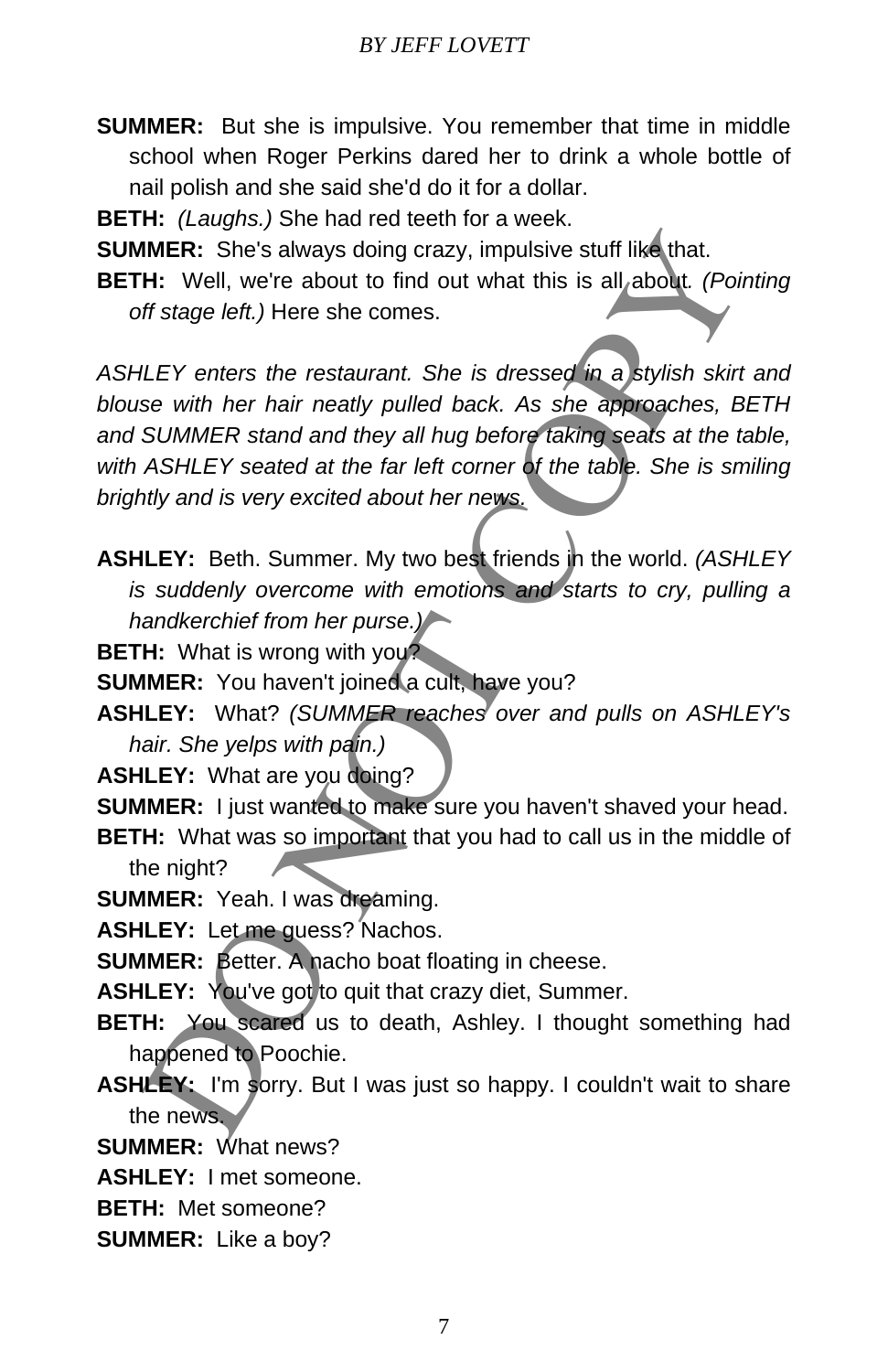- **SUMMER:** But she is impulsive. You remember that time in middle school when Roger Perkins dared her to drink a whole bottle of nail polish and she said she'd do it for a dollar.
- **BETH:** *(Laughs.)* She had red teeth for a week.
- **SUMMER:** She's always doing crazy, impulsive stuff like that.
- **BETH:** Well, we're about to find out what this is all about*. (Pointing off stage left.)* Here she comes.

*ASHLEY enters the restaurant. She is dressed in a stylish skirt and blouse with her hair neatly pulled back. As she approaches, BETH and SUMMER stand and they all hug before taking seats at the table, with ASHLEY seated at the far left corner of the table. She is smiling brightly and is very excited about her news.* IMER: She's always doing crazy, impulsive stuff like that.<br>
H: Well, we're about to find out what this is all, about. (Point of stage left.) Here she comes.<br>
ILEY enters the restaurant. She is dressed in a stylish skirt<br>
s

- **ASHLEY:** Beth. Summer. My two best friends in the world. *(ASHLEY is suddenly overcome with emotions and starts to cry, pulling a handkerchief from her purse.)*
- **BETH:** What is wrong with you?
- **SUMMER:** You haven't joined a cult, have you?
- **ASHLEY:** What? *(SUMMER reaches over and pulls on ASHLEY's hair. She yelps with pain.)*
- **ASHLEY:** What are you doing?
- **SUMMER:** I just wanted to make sure you haven't shaved your head.
- **BETH:** What was so important that you had to call us in the middle of the night?
- **SUMMER:** Yeah. I was dreaming.
- **ASHLEY:** Let me guess? Nachos.
- **SUMMER:** Better. A nacho boat floating in cheese.
- ASHLEY: You've got to quit that crazy diet, Summer.
- **BETH:** You scared us to death, Ashley. I thought something had happened to Poochie.
- ASHLEY: I'm sorry. But I was just so happy. I couldn't wait to share the news.
- **SUMMER:** What news?
- **ASHLEY:** I met someone.
- **BETH:** Met someone?
- **SUMMER:** Like a boy?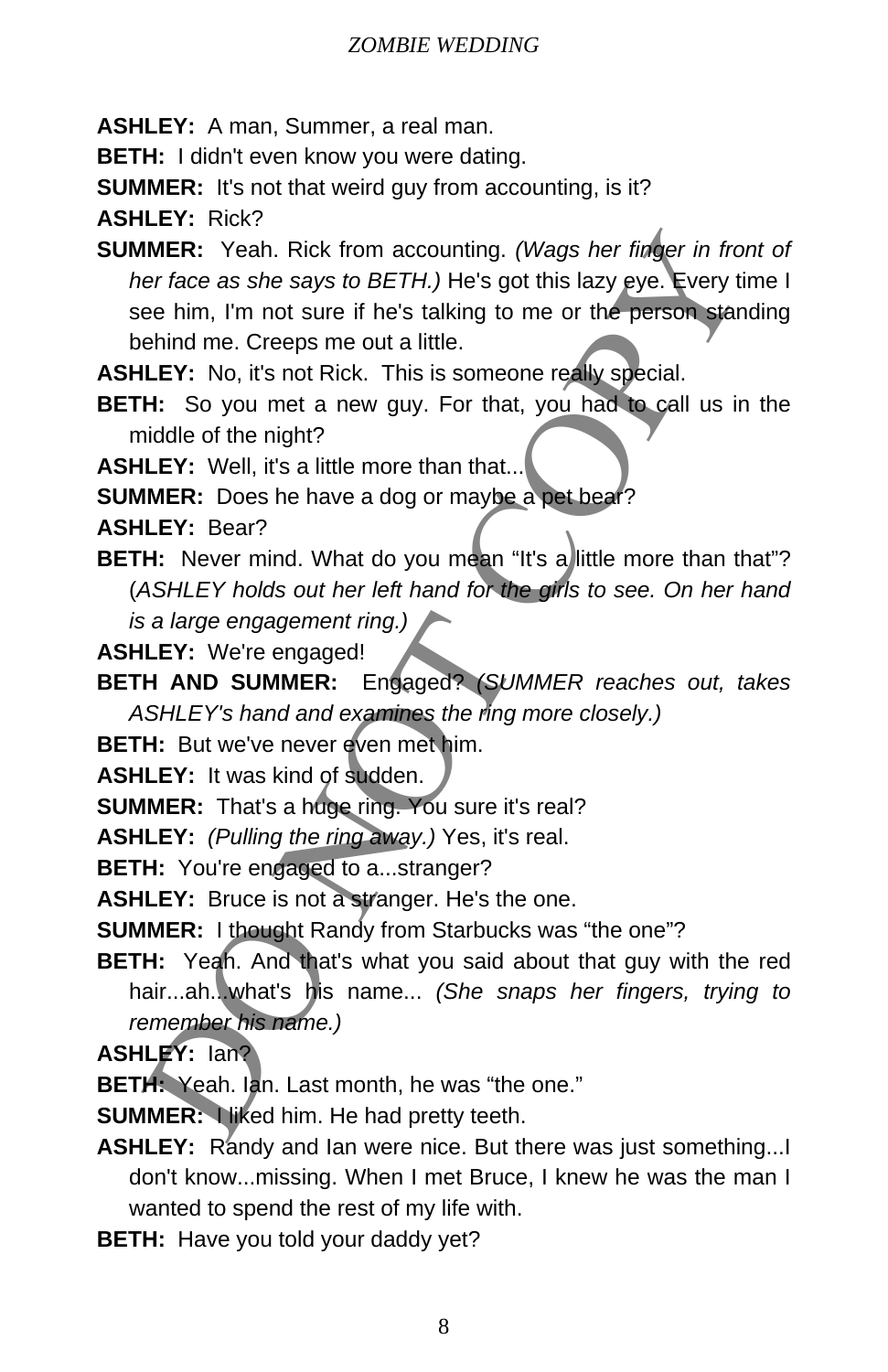**ASHLEY:** A man, Summer, a real man.

**BETH:** I didn't even know you were dating.

**SUMMER:** It's not that weird guy from accounting, is it?

**ASHLEY:** Rick?

**SUMMER:** Yeah. Rick from accounting. *(Wags her finger in front of her face as she says to BETH.)* He's got this lazy eye. Every time I see him, I'm not sure if he's talking to me or the person standing behind me. Creeps me out a little. IMER: Yeah. Rick from accounting. (Wags her finger in from the or face as she says to BETH.) He's got this lazy eye. Every time that the transmit sum eit the stalking to me or the person standing the mehind me. Creeps me o

**ASHLEY:** No, it's not Rick. This is someone really special.

**BETH:** So you met a new guy. For that, you had to call us in the middle of the night?

**ASHLEY:** Well, it's a little more than that...

**SUMMER:** Does he have a dog or maybe a pet bear?

**ASHLEY:** Bear?

**BETH:** Never mind. What do you mean "It's a little more than that"? (*ASHLEY holds out her left hand for the girls to see. On her hand* 

*is a large engagement ring.)*

**ASHLEY:** We're engaged!

**BETH AND SUMMER:** Engaged? *(SUMMER reaches out, takes ASHLEY's hand and examines the ring more closely.)*

**BETH:** But we've never even met him.

**ASHLEY:** It was kind of sudden.

**SUMMER:** That's a huge ring. You sure it's real?

**ASHLEY:** *(Pulling the ring away.)* Yes, it's real.

**BETH:** You're engaged to a...stranger?

**ASHLEY:** Bruce is not a stranger. He's the one.

**SUMMER:** I thought Randy from Starbucks was "the one"?

**BETH:** Yeah. And that's what you said about that guy with the red hair...ah...what's his name... *(She snaps her fingers, trying to remember his name.)*

**ASHLEY:** Ian?

**BETH:** Yeah. Ian. Last month, he was "the one."

**SUMMER: Niked him. He had pretty teeth.** 

**ASHLEY:** Randy and Ian were nice. But there was just something... don't know...missing. When I met Bruce, I knew he was the man I wanted to spend the rest of my life with.

**BETH:** Have you told your daddy yet?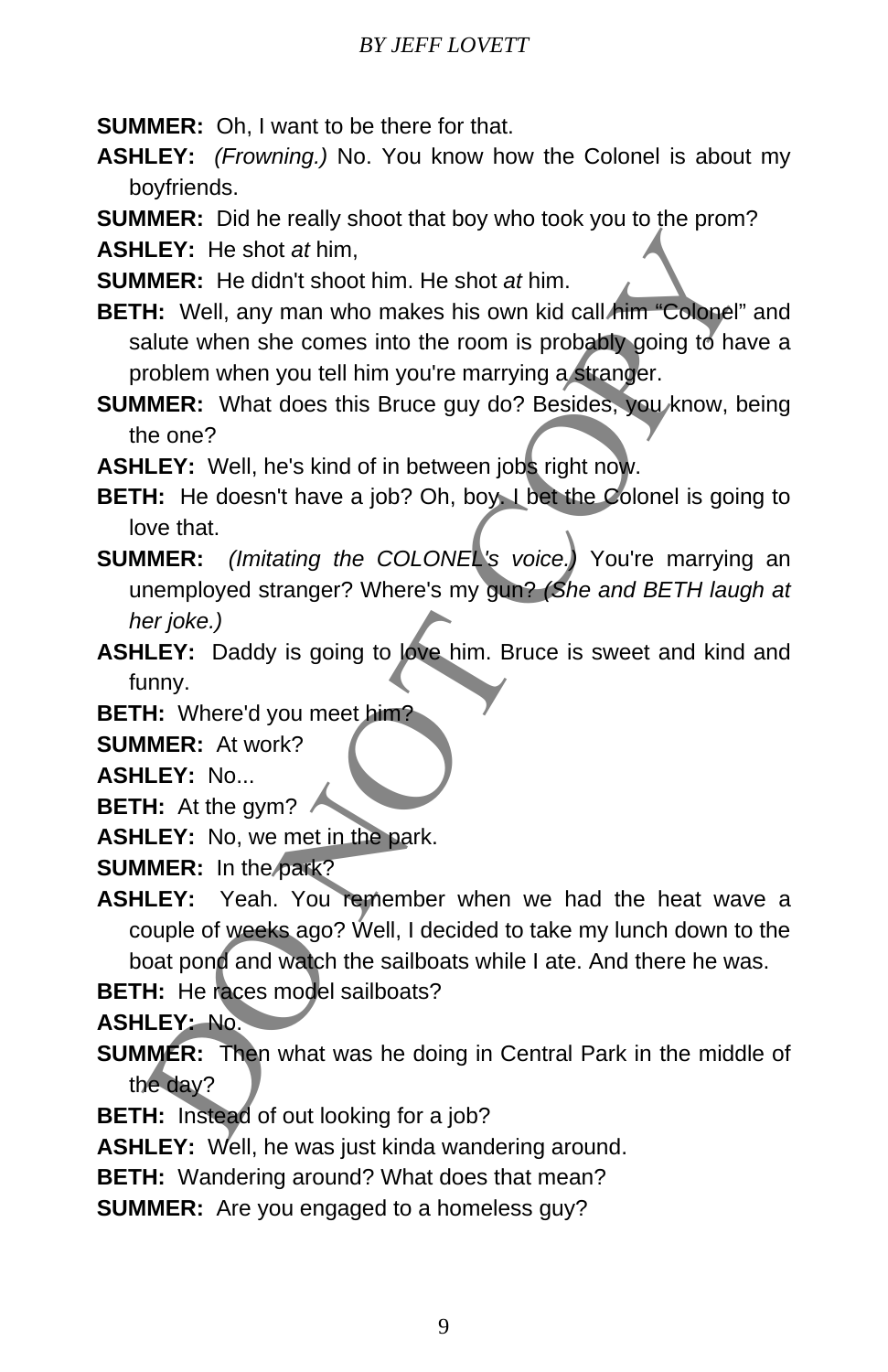**SUMMER:** Oh, I want to be there for that.

- **ASHLEY:** *(Frowning.)* No. You know how the Colonel is about my boyfriends.
- **SUMMER:** Did he really shoot that boy who took you to the prom?

**ASHLEY:** He shot *at* him,

**SUMMER:** He didn't shoot him. He shot *at* him.

- **BETH:** Well, any man who makes his own kid call him "Colonel" and salute when she comes into the room is probably going to have a problem when you tell him you're marrying a stranger.
- **SUMMER:** What does this Bruce guy do? Besides, you know, being the one?

**ASHLEY:** Well, he's kind of in between jobs right now.

- **BETH:** He doesn't have a job? Oh, boy. I bet the Colonel is going to love that.
- **SUMMER:** *(Imitating the COLONEL's voice.)* You're marrying an unemployed stranger? Where's my gun? *(She and BETH laugh at her joke.)* LEY: He shot at him,<br>
IMER: He didn't shoot him. He shot at him.<br>
H: Well, any man who makes his own kid call *him* "Colone"<br>
alter when she comes into the room is probably going to ha<br>
incollem when you tell him you're ma
- **ASHLEY:** Daddy is going to love him. Bruce is sweet and kind and funny.

**BETH:** Where'd you meet him?

**SUMMER:** At work?

**ASHLEY:** No...

**BETH:** At the gym?

**ASHLEY:** No, we met in the park.

**SUMMER:** In the park?

**ASHLEY:** Yeah. You remember when we had the heat wave a couple of weeks ago? Well, I decided to take my lunch down to the boat pond and watch the sailboats while I ate. And there he was.

**BETH:** He races model sailboats?

**ASHLEY:** No.

- **SUMMER:** Then what was he doing in Central Park in the middle of the day?
- **BETH:** Instead of out looking for a job?

**ASHLEY:** Well, he was just kinda wandering around.

- **BETH:** Wandering around? What does that mean?
- **SUMMER:** Are you engaged to a homeless guy?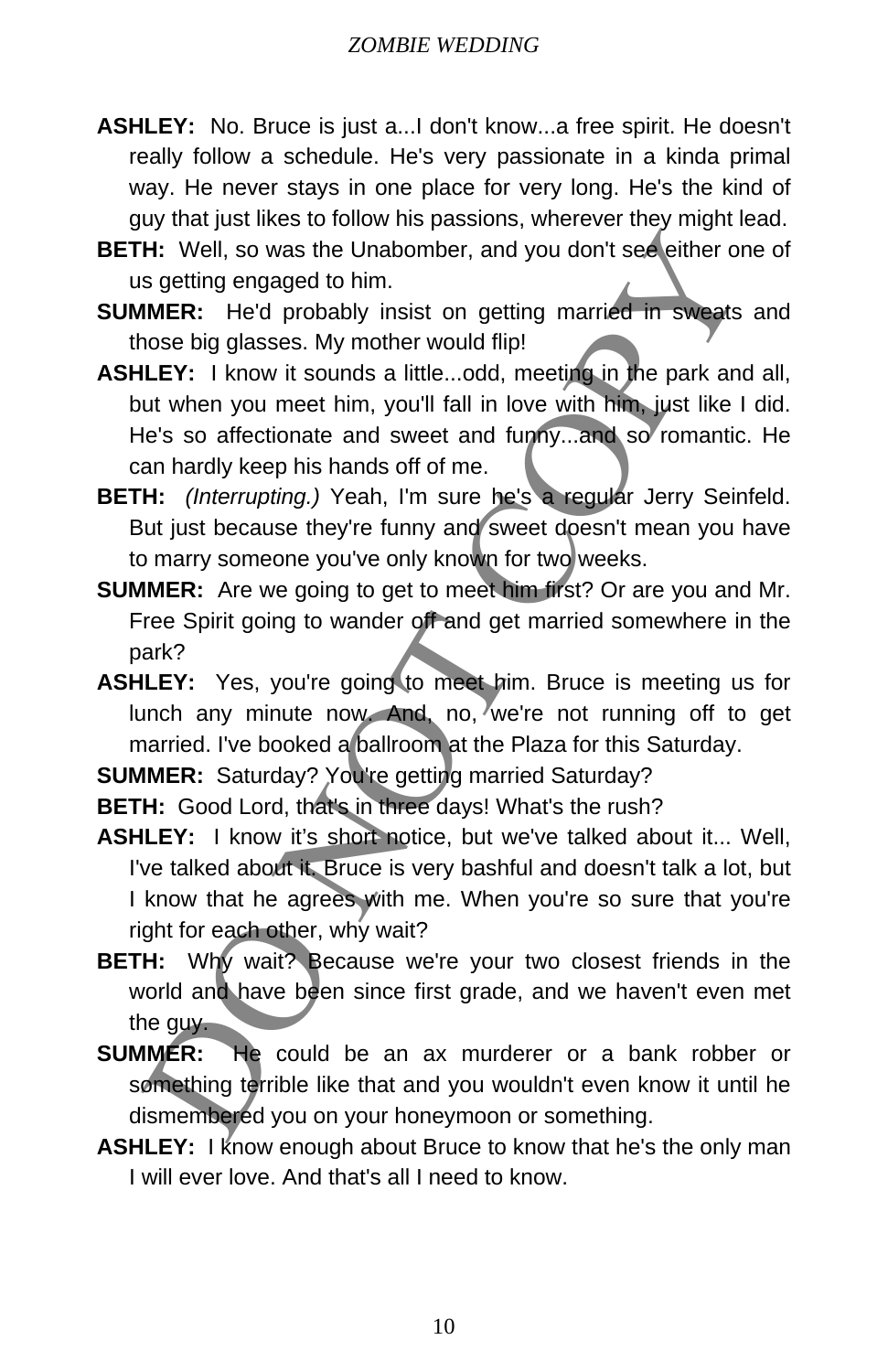- **ASHLEY:** No. Bruce is just a...I don't know...a free spirit. He doesn't really follow a schedule. He's very passionate in a kinda primal way. He never stays in one place for very long. He's the kind of guy that just likes to follow his passions, wherever they might lead.
- **BETH:** Well, so was the Unabomber, and you don't see either one of us getting engaged to him.
- **SUMMER:** He'd probably insist on getting married in sweats and those big glasses. My mother would flip!
- **ASHLEY:** I know it sounds a little...odd, meeting in the park and all, but when you meet him, you'll fall in love with him, just like I did. He's so affectionate and sweet and funny...and so romantic. He can hardly keep his hands off of me. H: Well, so was the Unabomber, and you don't see either or<br>spetting engaged to him.<br>MME: Hed probably insist on getting married in sweets<br>once big glasses. My mother would flip!<br>LLEY: I know it sounds a little...odd, meet
- **BETH:** *(Interrupting.)* Yeah, I'm sure he's a regular Jerry Seinfeld. But just because they're funny and sweet doesn't mean you have to marry someone you've only known for two weeks.
- **SUMMER:** Are we going to get to meet him first? Or are you and Mr. Free Spirit going to wander off and get married somewhere in the park?
- **ASHLEY:** Yes, you're going to meet him. Bruce is meeting us for lunch any minute now. And, no, we're not running off to get married. I've booked a ballroom at the Plaza for this Saturday.
- **SUMMER:** Saturday? You're getting married Saturday?
- **BETH:** Good Lord, that's in three days! What's the rush?
- **ASHLEY:** I know it's short notice, but we've talked about it... Well, I've talked about it. Bruce is very bashful and doesn't talk a lot, but I know that he agrees with me. When you're so sure that you're right for each other, why wait?
- **BETH:** Why wait? Because we're your two closest friends in the world and have been since first grade, and we haven't even met the guy.
- **SUMMER:** He could be an ax murderer or a bank robber or something terrible like that and you wouldn't even know it until he dismembered you on your honeymoon or something.
- **ASHLEY:** I know enough about Bruce to know that he's the only man I will ever love. And that's all I need to know.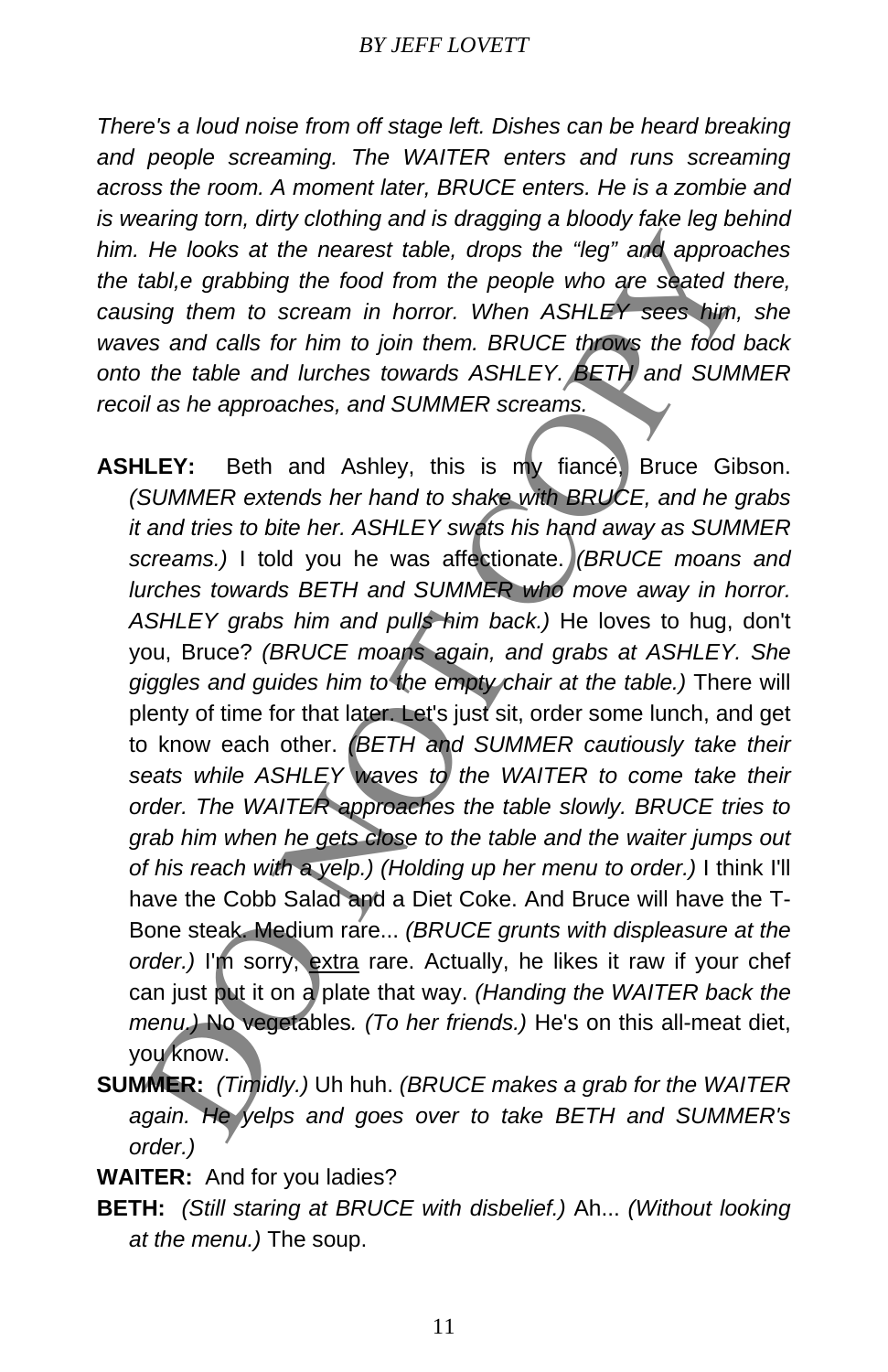*There's a loud noise from off stage left. Dishes can be heard breaking and people screaming. The WAITER enters and runs screaming across the room. A moment later, BRUCE enters. He is a zombie and is wearing torn, dirty clothing and is dragging a bloody fake leg behind him. He looks at the nearest table, drops the "leg" and approaches the tabl,e grabbing the food from the people who are seated there, causing them to scream in horror. When ASHLEY sees him, she waves and calls for him to join them. BRUCE throws the food back onto the table and lurches towards ASHLEY. BETH and SUMMER recoil as he approaches, and SUMMER screams.*

- **ASHLEY:** Beth and Ashley, this is my fiancé, Bruce Gibson. *(SUMMER extends her hand to shake with BRUCE, and he grabs it and tries to bite her. ASHLEY swats his hand away as SUMMER screams.)* I told you he was affectionate. *(BRUCE moans and lurches towards BETH and SUMMER who move away in horror. ASHLEY grabs him and pulls him back.)* He loves to hug, don't you, Bruce? *(BRUCE moans again, and grabs at ASHLEY. She giggles and guides him to the empty chair at the table.)* There will plenty of time for that later. Let's just sit, order some lunch, and get to know each other. *(BETH and SUMMER cautiously take their seats while ASHLEY waves to the WAITER to come take their order. The WAITER approaches the table slowly. BRUCE tries to grab him when he gets close to the table and the waiter jumps out of his reach with a yelp.) (Holding up her menu to order.)* I think I'll have the Cobb Salad and a Diet Coke. And Bruce will have the T-Bone steak. Medium rare... *(BRUCE grunts with displeasure at the order.)* I'm sorry, extra rare. Actually, he likes it raw if your chef can just put it on a plate that way. *(Handing the WAITER back the menu.)* No vegetables*. (To her friends.)* He's on this all-meat diet, you know. He looks at the nearest table, drops the "leg" and approachable, grabbing the food from the people who are seated the migrifier to scream in horror. When ASHLEY sees him, as an calls for him to join them. BRUCE throws the
- **SUMMER:** *(Timidly.)* Uh huh. *(BRUCE makes a grab for the WAITER again. He yelps and goes over to take BETH and SUMMER's order.)*
- **WAITER:** And for you ladies?
- **BETH:** *(Still staring at BRUCE with disbelief.)* Ah... *(Without looking at the menu.)* The soup.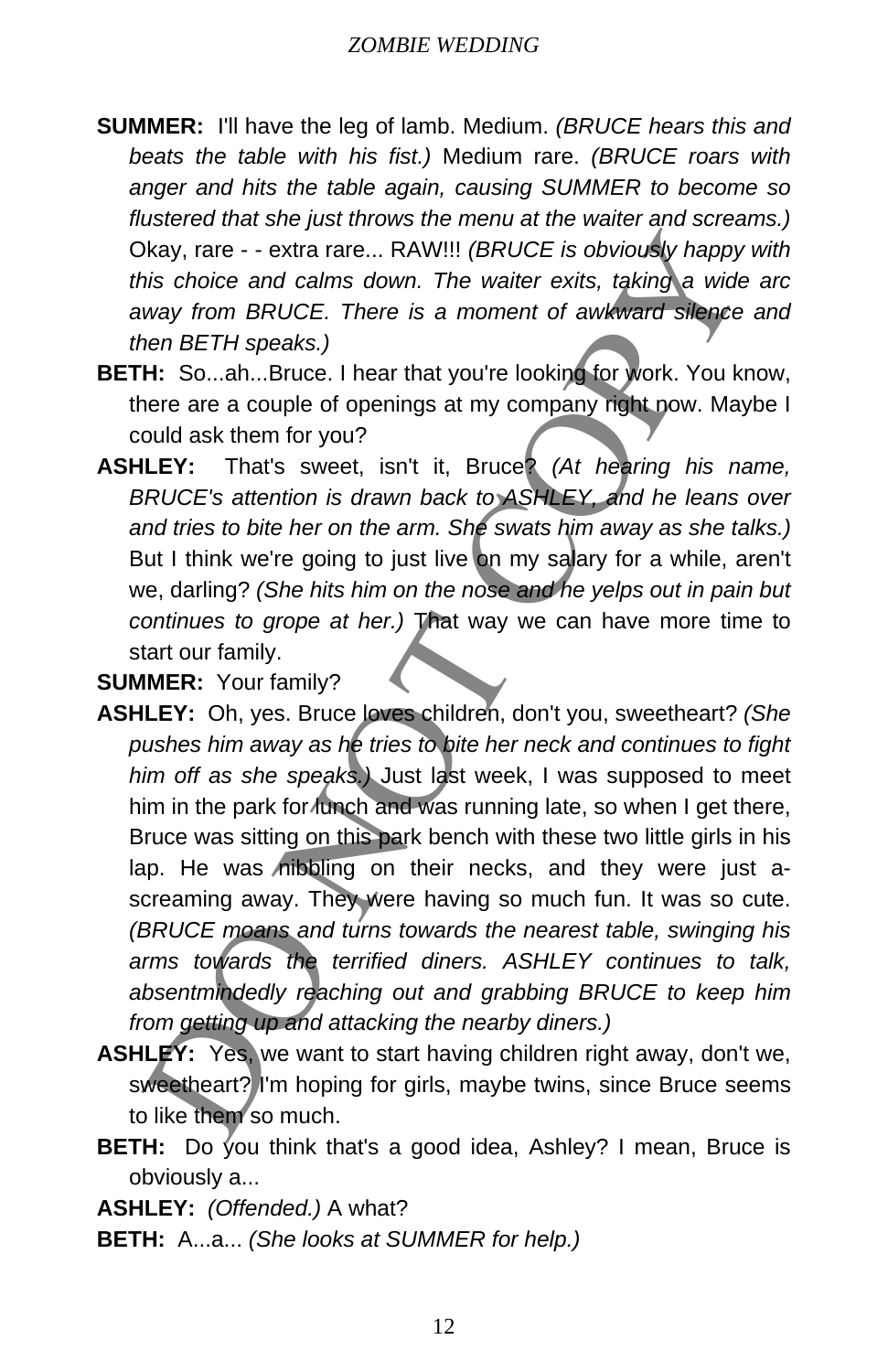- **SUMMER:** I'll have the leg of lamb. Medium. *(BRUCE hears this and beats the table with his fist.)* Medium rare. *(BRUCE roars with anger and hits the table again, causing SUMMER to become so flustered that she just throws the menu at the waiter and screams.)* Okay, rare - - extra rare... RAW!!! *(BRUCE is obviously happy with this choice and calms down. The waiter exits, taking a wide arc away from BRUCE. There is a moment of awkward silence and then BETH speaks.)*
- **BETH:** So...ah...Bruce. I hear that you're looking for work. You know, there are a couple of openings at my company right now. Maybe I could ask them for you?
- **ASHLEY:** That's sweet, isn't it, Bruce? *(At hearing his name, BRUCE's attention is drawn back to ASHLEY, and he leans over and tries to bite her on the arm. She swats him away as she talks.)*  But I think we're going to just live on my salary for a while, aren't we, darling? *(She hits him on the nose and he yelps out in pain but continues to grope at her.)* That way we can have more time to start our family.

**SUMMER:** Your family?

- **ASHLEY:** Oh, yes. Bruce loves children, don't you, sweetheart? *(She pushes him away as he tries to bite her neck and continues to fight him off as she speaks.)* Just last week, I was supposed to meet him in the park for lunch and was running late, so when I get there, Bruce was sitting on this park bench with these two little girls in his lap. He was nibbling on their necks, and they were just ascreaming away. They were having so much fun. It was so cute. *(BRUCE moans and turns towards the nearest table, swinging his arms towards the terrified diners. ASHLEY continues to talk, absentmindedly reaching out and grabbing BRUCE to keep him from getting up and attacking the nearby diners.)* Neay, rare - - extra rare... RAW!!! (*BRUCE is obviously happy*<br>his choice and calms down. The waiter exits, taking a wide<br>way from *BRUCE. There is a moment of awkward silence*<br>ener *BETH speaks.)*<br>H: So...ah...Bruce. I h
- **ASHLEY:** Yes, we want to start having children right away, don't we, sweetheart? I'm hoping for girls, maybe twins, since Bruce seems to like them so much.
- **BETH:** Do you think that's a good idea, Ashley? I mean, Bruce is obviously a...

**ASHLEY:** *(Offended.)* A what?

**BETH:** A...a... *(She looks at SUMMER for help.)*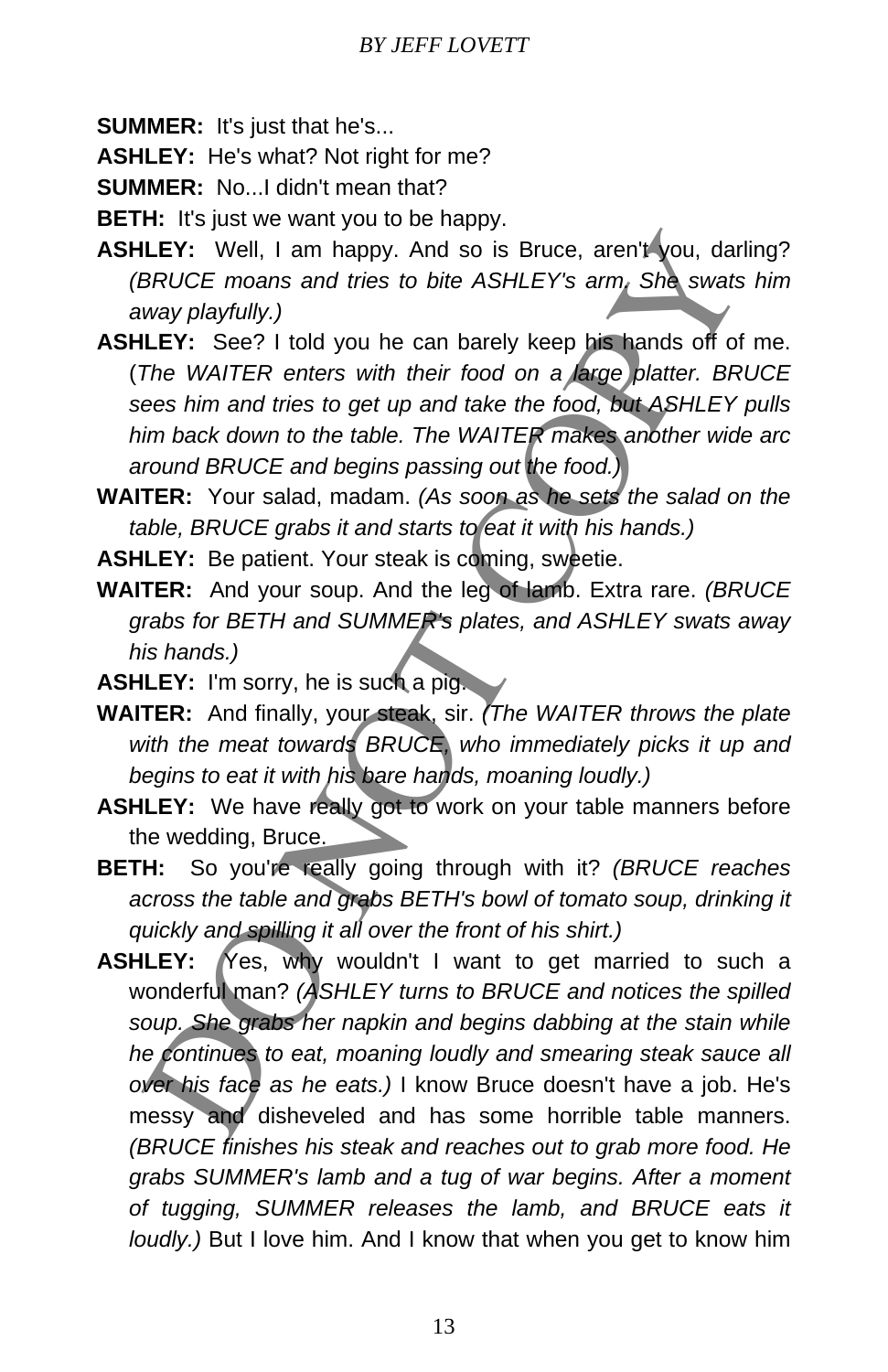**SUMMER:** It's just that he's...

**ASHLEY:** He's what? Not right for me?

**SUMMER:** No. I didn't mean that?

**BETH:** It's just we want you to be happy.

**ASHLEY:** Well, I am happy. And so is Bruce, aren't you, darling? *(BRUCE moans and tries to bite ASHLEY's arm. She swats him away playfully.)*

**ASHLEY:** See? I told you he can barely keep his hands off of me. (*The WAITER enters with their food on a large platter. BRUCE sees him and tries to get up and take the food, but ASHLEY pulls him back down to the table. The WAITER makes another wide arc around BRUCE and begins passing out the food.)*

**WAITER:** Your salad, madam. *(As soon as he sets the salad on the table, BRUCE grabs it and starts to eat it with his hands.)*

**ASHLEY:** Be patient. Your steak is coming, sweetie.

- **WAITER:** And your soup. And the leg of lamb. Extra rare. *(BRUCE grabs for BETH and SUMMER's plates, and ASHLEY swats away his hands.)*
- **ASHLEY:** I'm sorry, he is such a pig.
- **WAITER:** And finally, your steak, sir. *(The WAITER throws the plate with the meat towards BRUCE, who immediately picks it up and begins to eat it with his bare hands, moaning loudly.)*
- **ASHLEY:** We have really got to work on your table manners before the wedding, Bruce.
- **BETH:** So you're really going through with it? *(BRUCE reaches across the table and grabs BETH's bowl of tomato soup, drinking it quickly and spilling it all over the front of his shirt.)*
- **ASHLEY:** Yes, why wouldn't I want to get married to such a wonderful man? *(ASHLEY turns to BRUCE and notices the spilled soup. She grabs her napkin and begins dabbing at the stain while he continues to eat, moaning loudly and smearing steak sauce all over his face as he eats.)* I know Bruce doesn't have a job. He's messy and disheveled and has some horrible table manners. *(BRUCE finishes his steak and reaches out to grab more food. He grabs SUMMER's lamb and a tug of war begins. After a moment of tugging, SUMMER releases the lamb, and BRUCE eats it loudly.)* But I love him. And I know that when you get to know him LEY: Well, I am happy. And so is Bruce, aren't you, dat<br>BRUCE moans and tries to bite ASHLEY's arm, She swats<br>way playtully.)<br>Were moans and tries to bite ASHLEY's arm, She swats<br>uvay playtully.)<br>LEY: See? I told you he ca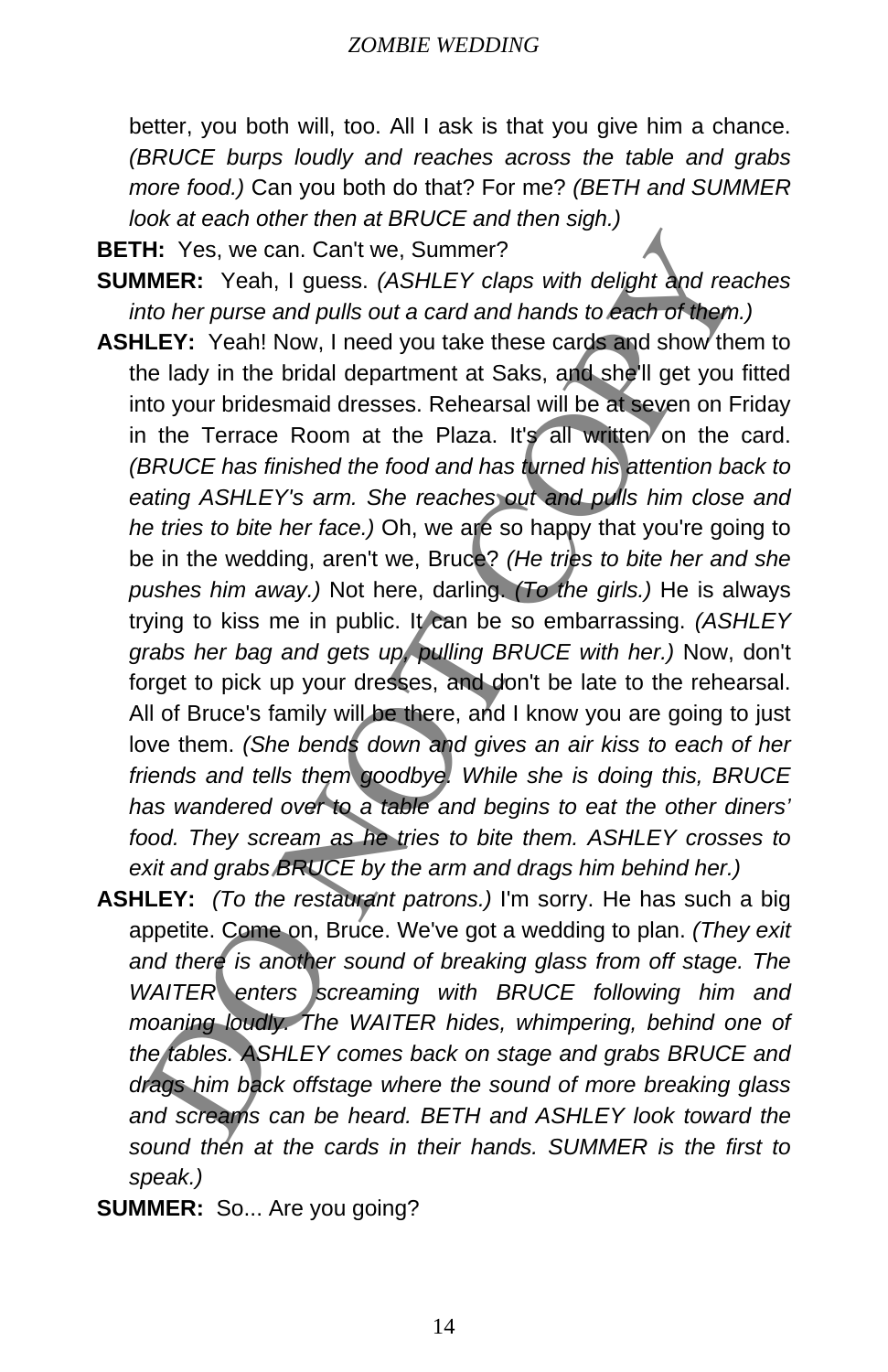better, you both will, too. All I ask is that you give him a chance. *(BRUCE burps loudly and reaches across the table and grabs more food.)* Can you both do that? For me? *(BETH and SUMMER look at each other then at BRUCE and then sigh.)*

**BETH:** Yes, we can. Can't we, Summer?

- **SUMMER:** Yeah, I guess. *(ASHLEY claps with delight and reaches into her purse and pulls out a card and hands to each of them.)*
- **ASHLEY:** Yeah! Now, I need you take these cards and show them to the lady in the bridal department at Saks, and she'll get you fitted into your bridesmaid dresses. Rehearsal will be at seven on Friday in the Terrace Room at the Plaza. It's all written on the card. *(BRUCE has finished the food and has turned his attention back to eating ASHLEY's arm. She reaches out and pulls him close and he tries to bite her face.)* Oh, we are so happy that you're going to be in the wedding, aren't we, Bruce? *(He tries to bite her and she pushes him away.)* Not here, darling. *(To the girls.)* He is always trying to kiss me in public. It can be so embarrassing. *(ASHLEY grabs her bag and gets up, pulling BRUCE with her.)* Now, don't forget to pick up your dresses, and don't be late to the rehearsal. All of Bruce's family will be there, and I know you are going to just love them. *(She bends down and gives an air kiss to each of her friends and tells them goodbye. While she is doing this, BRUCE has wandered over to a table and begins to eat the other diners' food. They scream as he tries to bite them. ASHLEY crosses to exit and grabs BRUCE by the arm and drags him behind her.)* H: Yes, we can. Can't we, Summer?<br>
HER: Yes, I guess. (ASHLEY claps with delight and reach<br>
into the rourse and pulls out a card and hands to each of them.<br>
LEF: Yesh! Now, I need you take these cards and show the<br>
LEF: Y
- **ASHLEY:** *(To the restaurant patrons.)* I'm sorry. He has such a big appetite. Come on, Bruce. We've got a wedding to plan. *(They exit and there is another sound of breaking glass from off stage. The WAITER enters screaming with BRUCE following him and moaning loudly. The WAITER hides, whimpering, behind one of the tables. ASHLEY comes back on stage and grabs BRUCE and drags him back offstage where the sound of more breaking glass and screams can be heard. BETH and ASHLEY look toward the sound then at the cards in their hands. SUMMER is the first to speak.)*
- **SUMMER:** So... Are you going?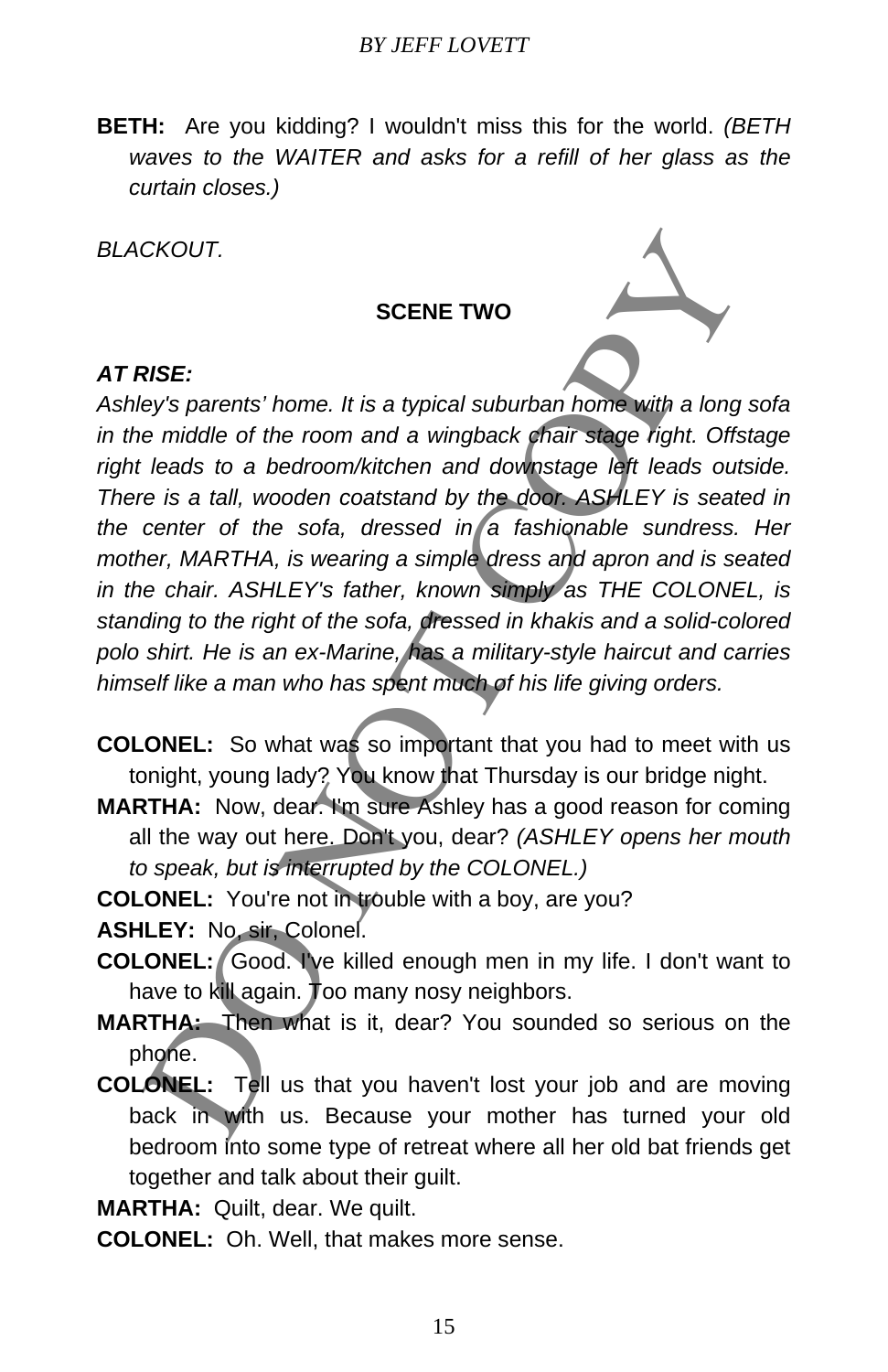**BETH:** Are you kidding? I wouldn't miss this for the world. *(BETH waves to the WAITER and asks for a refill of her glass as the curtain closes.)*

*BLACKOUT.* 

#### **SCENE TWO**

#### *AT RISE:*

*Ashley's parents' home. It is a typical suburban home with a long sofa in the middle of the room and a wingback chair stage right. Offstage right leads to a bedroom/kitchen and downstage left leads outside. There is a tall, wooden coatstand by the door. ASHLEY is seated in*  the center of the sofa, dressed in a fashionable sundress. Her *mother, MARTHA, is wearing a simple dress and apron and is seated in the chair. ASHLEY's father, known simply as THE COLONEL, is standing to the right of the sofa, dressed in khakis and a solid-colored polo shirt. He is an ex-Marine, has a military-style haircut and carries himself like a man who has spent much of his life giving orders.*  SCENE TWO<br>
SCENE TWO<br>
SCENE TWO<br>
SCENE TWO<br>
SCENE TWO<br>
leads to a bedroom/kitchen and downstage left than long<br>
leads to a bedroom/kitchen and downstage left leads out.<br>
leads to a bedroom/kitchen and downstage left leads

**COLONEL:** So what was so important that you had to meet with us tonight, young lady? You know that Thursday is our bridge night.

- **MARTHA:** Now, dear. I'm sure Ashley has a good reason for coming all the way out here. Don't you, dear? *(ASHLEY opens her mouth to speak, but is interrupted by the COLONEL.)*
- **COLONEL:** You're not in trouble with a boy, are you?

**ASHLEY:** No, sir, Colonel.

- **COLONEL:** Good. I've killed enough men in my life. I don't want to have to kill again. Too many nosy neighbors.
- **MARTHA:** Then what is it, dear? You sounded so serious on the phone.
- **COLONEL:** Tell us that you haven't lost your job and are moving back in with us. Because your mother has turned your old bedroom into some type of retreat where all her old bat friends get together and talk about their guilt.

**MARTHA:** Quilt, dear. We quilt.

**COLONEL:** Oh. Well, that makes more sense.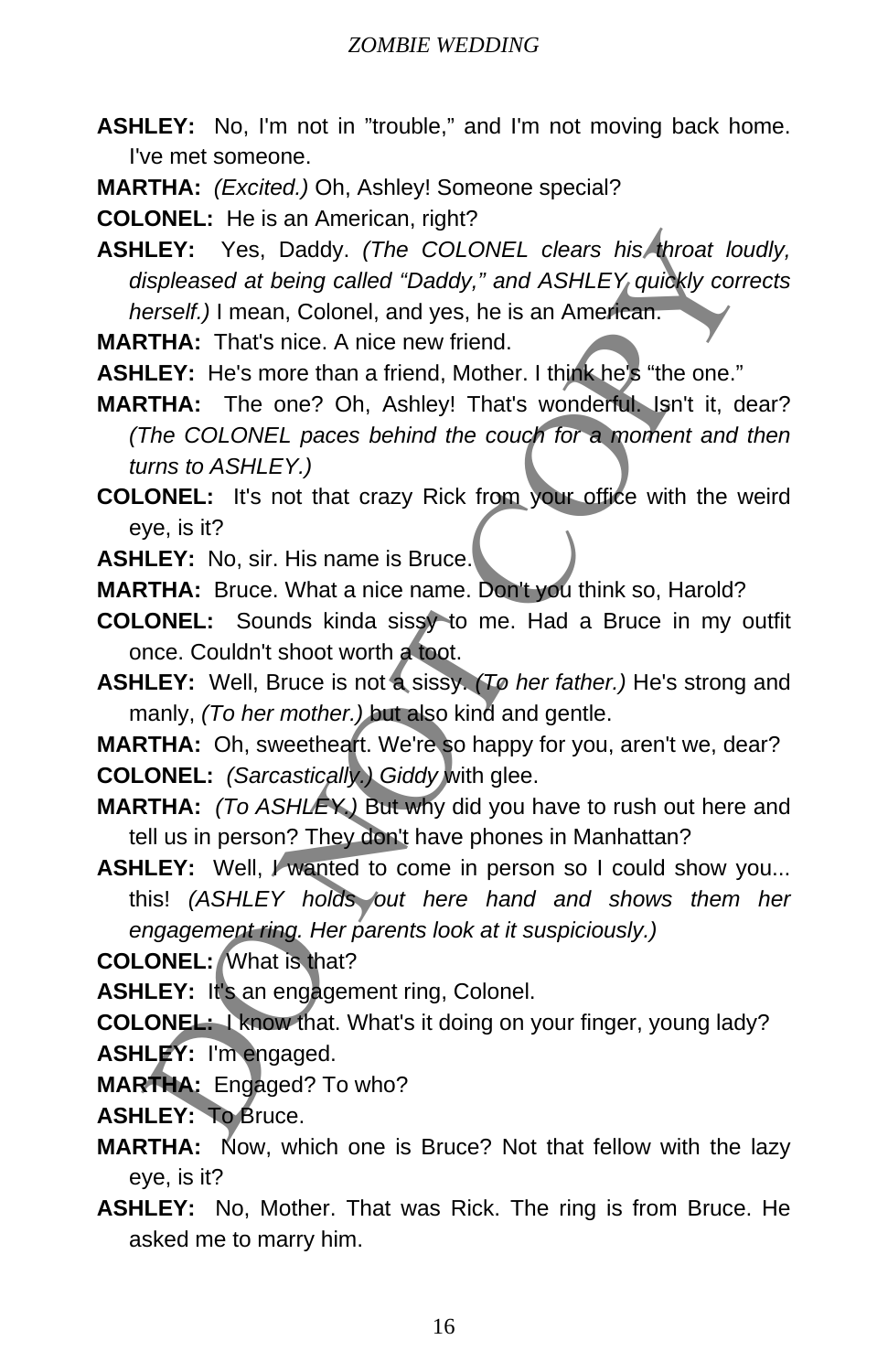- **ASHLEY:** No, I'm not in "trouble," and I'm not moving back home. I've met someone.
- **MARTHA:** *(Excited.)* Oh, Ashley! Someone special?

**COLONEL:** He is an American, right?

**ASHLEY:** Yes, Daddy. *(The COLONEL clears his throat loudly, displeased at being called "Daddy," and ASHLEY quickly corrects herself.)* I mean, Colonel, and yes, he is an American. LEY: Yes, Daddy. (The COLONEL clears his throat lotspleased at being called "Daddy," and ASHLEY quidely consider the result). Il mean, Colonel, and yes, he is an American.<br>
THA: That's ince. A nice new friend.<br>
ICHY: He's

**MARTHA:** That's nice. A nice new friend.

**ASHLEY:** He's more than a friend, Mother. I think he's "the one."

**MARTHA:** The one? Oh, Ashley! That's wonderful. Isn't it, dear? *(The COLONEL paces behind the couch for a moment and then turns to ASHLEY.)*

**COLONEL:** It's not that crazy Rick from your office with the weird eye, is it?

**ASHLEY:** No, sir. His name is Bruce.

**MARTHA:** Bruce. What a nice name. Don't you think so, Harold?

**COLONEL:** Sounds kinda sissy to me. Had a Bruce in my outfit once. Couldn't shoot worth a toot.

**ASHLEY:** Well, Bruce is not a sissy. *(To her father.)* He's strong and manly, *(To her mother.)* but also kind and gentle.

**MARTHA:** Oh, sweetheart. We're so happy for you, aren't we, dear?

**COLONEL:** *(Sarcastically.) Giddy* with glee.

**MARTHA:** *(To ASHLEY.)* But why did you have to rush out here and tell us in person? They don't have phones in Manhattan?

**ASHLEY:** Well, I wanted to come in person so I could show you... this! *(ASHLEY holds out here hand and shows them her engagement ring. Her parents look at it suspiciously.)*

**COLONEL:** What is that?

ASHLEY: It's an engagement ring, Colonel.

**COLONEL:** I know that. What's it doing on your finger, young lady? **ASHLEY:** I'm engaged.

**MARTHA:** Engaged? To who?

- **ASHLEY:** To Bruce.
- **MARTHA:** Now, which one is Bruce? Not that fellow with the lazy eye, is it?
- **ASHLEY:** No, Mother. That was Rick. The ring is from Bruce. He asked me to marry him.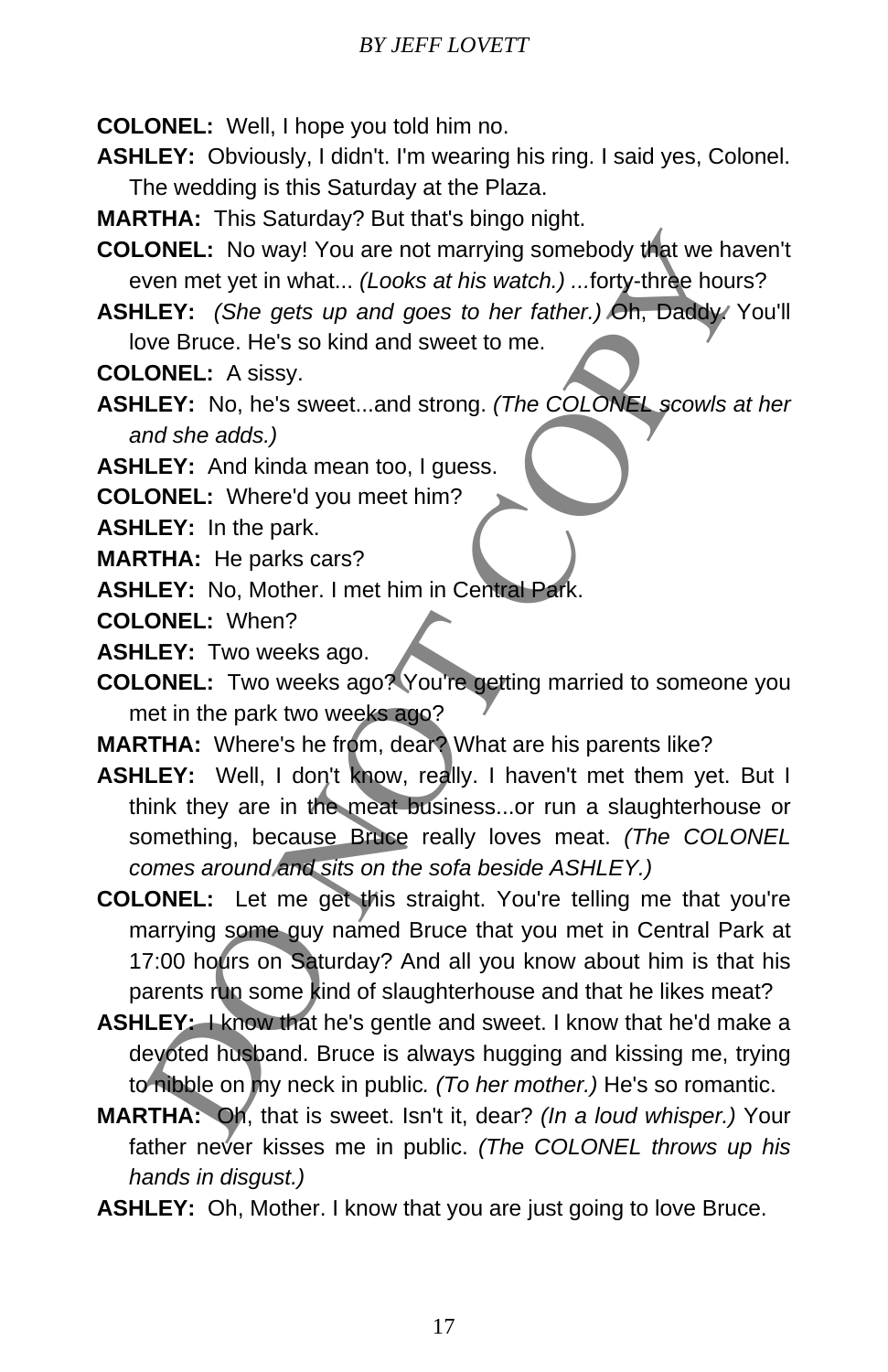- **COLONEL:** Well, I hope you told him no.
- **ASHLEY:** Obviously, I didn't. I'm wearing his ring. I said yes, Colonel. The wedding is this Saturday at the Plaza.
- **MARTHA:** This Saturday? But that's bingo night.
- **COLONEL:** No way! You are not marrying somebody that we haven't even met yet in what... *(Looks at his watch.) ...*forty-three hours?
- **ASHLEY:** *(She gets up and goes to her father.)* Oh, Daddy. You'll love Bruce. He's so kind and sweet to me.
- **COLONEL:** A sissy.
- **ASHLEY:** No, he's sweet...and strong. *(The COLONEL scowls at her and she adds.)*
- **ASHLEY:** And kinda mean too, I guess.
- **COLONEL:** Where'd you meet him?
- **ASHLEY:** In the park.
- **MARTHA:** He parks cars?
- **ASHLEY:** No, Mother. I met him in Central Park.
- **COLONEL:** When?
- **ASHLEY:** Two weeks ago.
- **COLONEL:** Two weeks ago? You're getting married to someone you met in the park two weeks ago?
- **MARTHA:** Where's he from, dear? What are his parents like?
- **ASHLEY:** Well, I don't know, really. I haven't met them yet. But I think they are in the meat business...or run a slaughterhouse or something, because Bruce really loves meat. *(The COLONEL comes around and sits on the sofa beside ASHLEY.)*
- **COLONEL:** Let me get this straight. You're telling me that you're marrying some guy named Bruce that you met in Central Park at 17:00 hours on Saturday? And all you know about him is that his parents run some kind of slaughterhouse and that he likes meat? **ONEL:** No way! You are not marrying somebody that we have the two-<br>term and yet in what... (Looks at his watch.) ...forty-three hours<br>
LEY: (She gets up and goes to her father.) On, Daday Y<br>
We Bruce. He's so kind and swe
- **ASHLEY:** I know that he's gentle and sweet. I know that he'd make a devoted husband. Bruce is always hugging and kissing me, trying to nibble on my neck in public*. (To her mother.)* He's so romantic.
- **MARTHA:** Oh, that is sweet. Isn't it, dear? *(In a loud whisper.)* Your father never kisses me in public. *(The COLONEL throws up his hands in disgust.)*
- **ASHLEY:** Oh, Mother. I know that you are just going to love Bruce.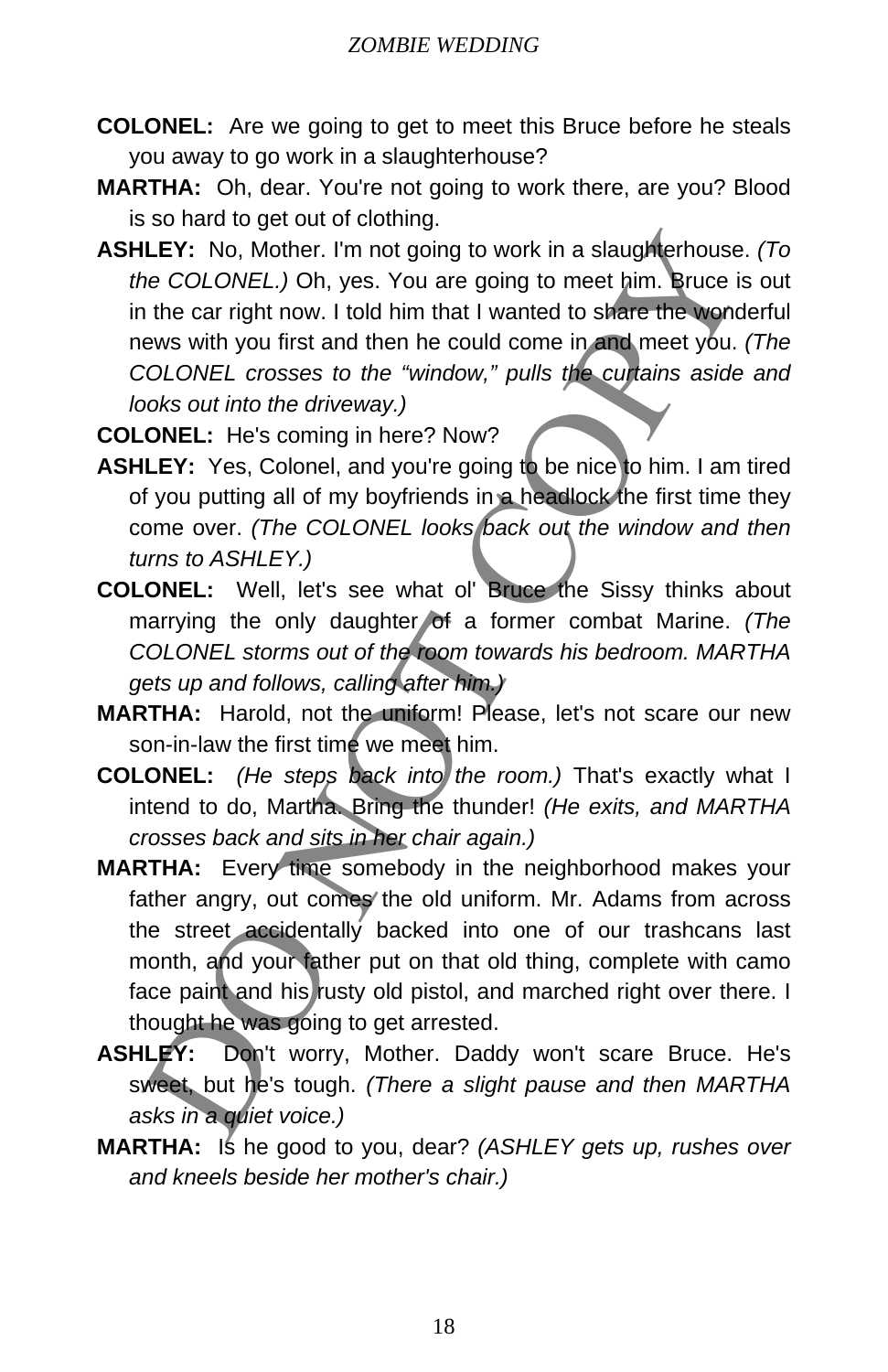- **COLONEL:** Are we going to get to meet this Bruce before he steals you away to go work in a slaughterhouse?
- **MARTHA:** Oh, dear. You're not going to work there, are you? Blood is so hard to get out of clothing.
- **ASHLEY:** No, Mother. I'm not going to work in a slaughterhouse. *(To the COLONEL.)* Oh, yes. You are going to meet him. Bruce is out in the car right now. I told him that I wanted to share the wonderful news with you first and then he could come in and meet you. (The *COLONEL crosses to the "window," pulls the curtains aside and looks out into the driveway.)* LEY: No, Mother. I'm not going to work in a slaughterhouse<br>be COLONEL.) Oh, yes. You are going to meet him. Bruce is<br>the car right now. I told him that I wanted to share the vord<br>we was with you lines to the "window," pull
- **COLONEL:** He's coming in here? Now?
- **ASHLEY:** Yes, Colonel, and you're going to be nice to him. I am tired of you putting all of my boyfriends in a headlock the first time they come over. *(The COLONEL looks back out the window and then turns to ASHLEY.)*
- **COLONEL:** Well, let's see what ol' Bruce the Sissy thinks about marrying the only daughter of a former combat Marine. *(The COLONEL storms out of the room towards his bedroom. MARTHA gets up and follows, calling after him.)*
- **MARTHA:** Harold, not the uniform! Please, let's not scare our new son-in-law the first time we meet him.
- **COLONEL:** *(He steps back into the room.)* That's exactly what I intend to do, Martha. Bring the thunder! *(He exits, and MARTHA crosses back and sits in her chair again.)*
- **MARTHA:** Every time somebody in the neighborhood makes your father angry, out comes the old uniform. Mr. Adams from across the street accidentally backed into one of our trashcans last month, and your father put on that old thing, complete with camo face paint and his rusty old pistol, and marched right over there. I thought he was going to get arrested.
- **ASHLEY:** Don't worry, Mother. Daddy won't scare Bruce. He's sweet, but he's tough. *(There a slight pause and then MARTHA asks in a quiet voice.)*
- **MARTHA:** Is he good to you, dear? *(ASHLEY gets up, rushes over and kneels beside her mother's chair.)*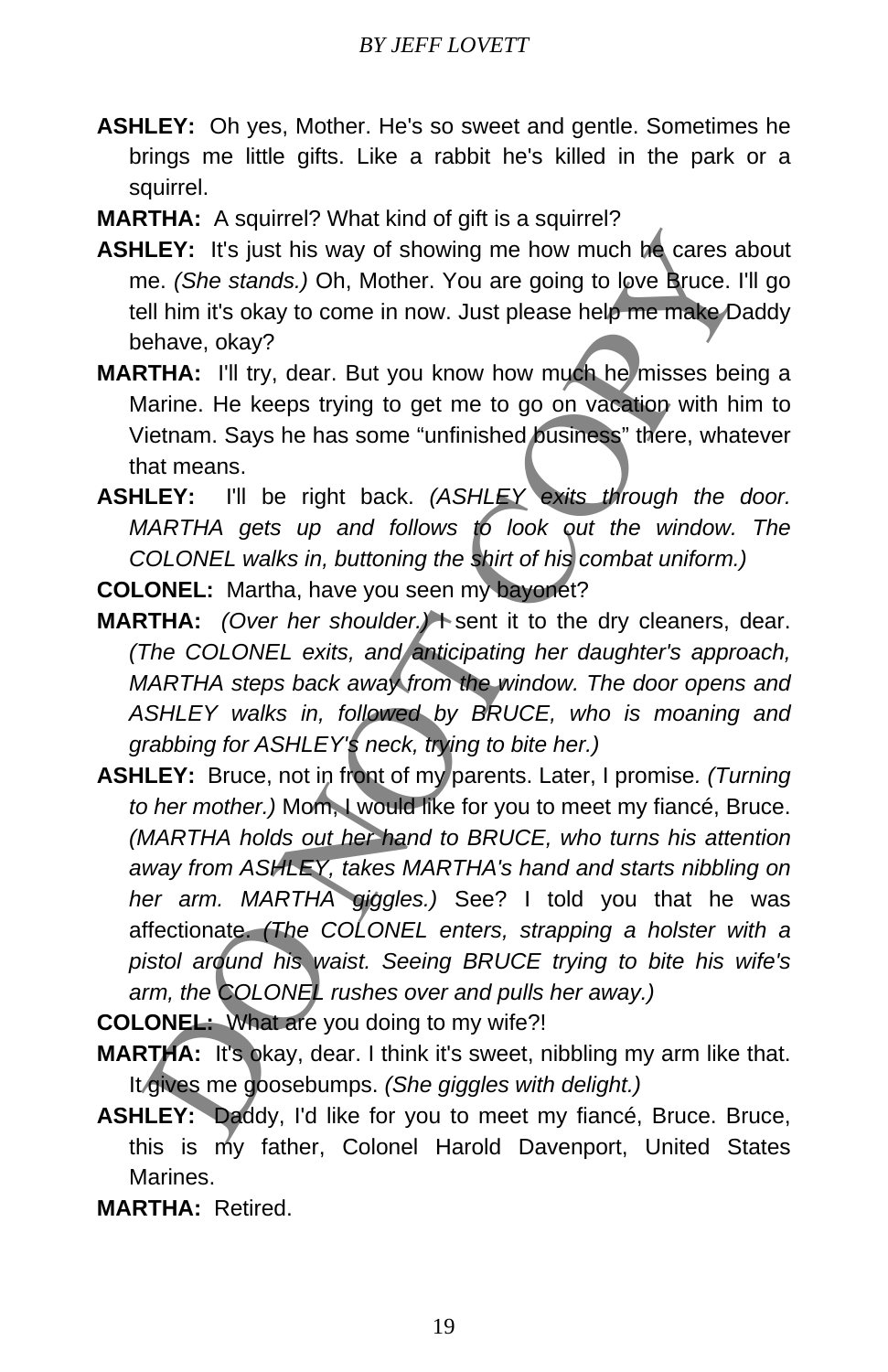- **ASHLEY:** Oh yes, Mother. He's so sweet and gentle. Sometimes he brings me little gifts. Like a rabbit he's killed in the park or a squirrel.
- **MARTHA:** A squirrel? What kind of gift is a squirrel?
- **ASHLEY:** It's just his way of showing me how much he cares about me. *(She stands.)* Oh, Mother. You are going to love Bruce. I'll go tell him it's okay to come in now. Just please help me make Daddy behave, okay?
- **MARTHA:** I'll try, dear. But you know how much he misses being a Marine. He keeps trying to get me to go on vacation with him to Vietnam. Says he has some "unfinished business" there, whatever that means.
- **ASHLEY:** I'll be right back. *(ASHLEY exits through the door. MARTHA gets up and follows to look out the window. The COLONEL walks in, buttoning the shirt of his combat uniform.)*

**COLONEL:** Martha, have you seen my bayonet?

- **MARTHA:** *(Over her shoulder.)* Sent it to the dry cleaners, dear. *(The COLONEL exits, and anticipating her daughter's approach, MARTHA steps back away from the window. The door opens and ASHLEY walks in, followed by BRUCE, who is moaning and grabbing for ASHLEY's neck, trying to bite her.)*
- **ASHLEY:** Bruce, not in front of my parents. Later, I promise*. (Turning to her mother.)* Mom, I would like for you to meet my fiancé, Bruce. *(MARTHA holds out her hand to BRUCE, who turns his attention away from ASHLEY, takes MARTHA's hand and starts nibbling on her arm. MARTHA giggles.)* See? I told you that he was affectionate. *(The COLONEL enters, strapping a holster with a pistol around his waist. Seeing BRUCE trying to bite his wife's arm, the COLONEL rushes over and pulls her away.)* LEY: It's just his way of showing me how much be cares a<br>e. (*She stands.*) Oh, Mother. You are going to love Bruce. I'<br>all ilm in it's okay to come in now. Just please help me make Dia<br>entare, okay?<br>TTHA: I'll try, dear.

**COLONEL:** What are you doing to my wife?!

- **MARTHA:** It's okay, dear. I think it's sweet, nibbling my arm like that. It gives me goosebumps. *(She giggles with delight.)*
- **ASHLEY:** Daddy, I'd like for you to meet my fiancé, Bruce. Bruce, this is my father, Colonel Harold Davenport, United States Marines.
- **MARTHA:** Retired.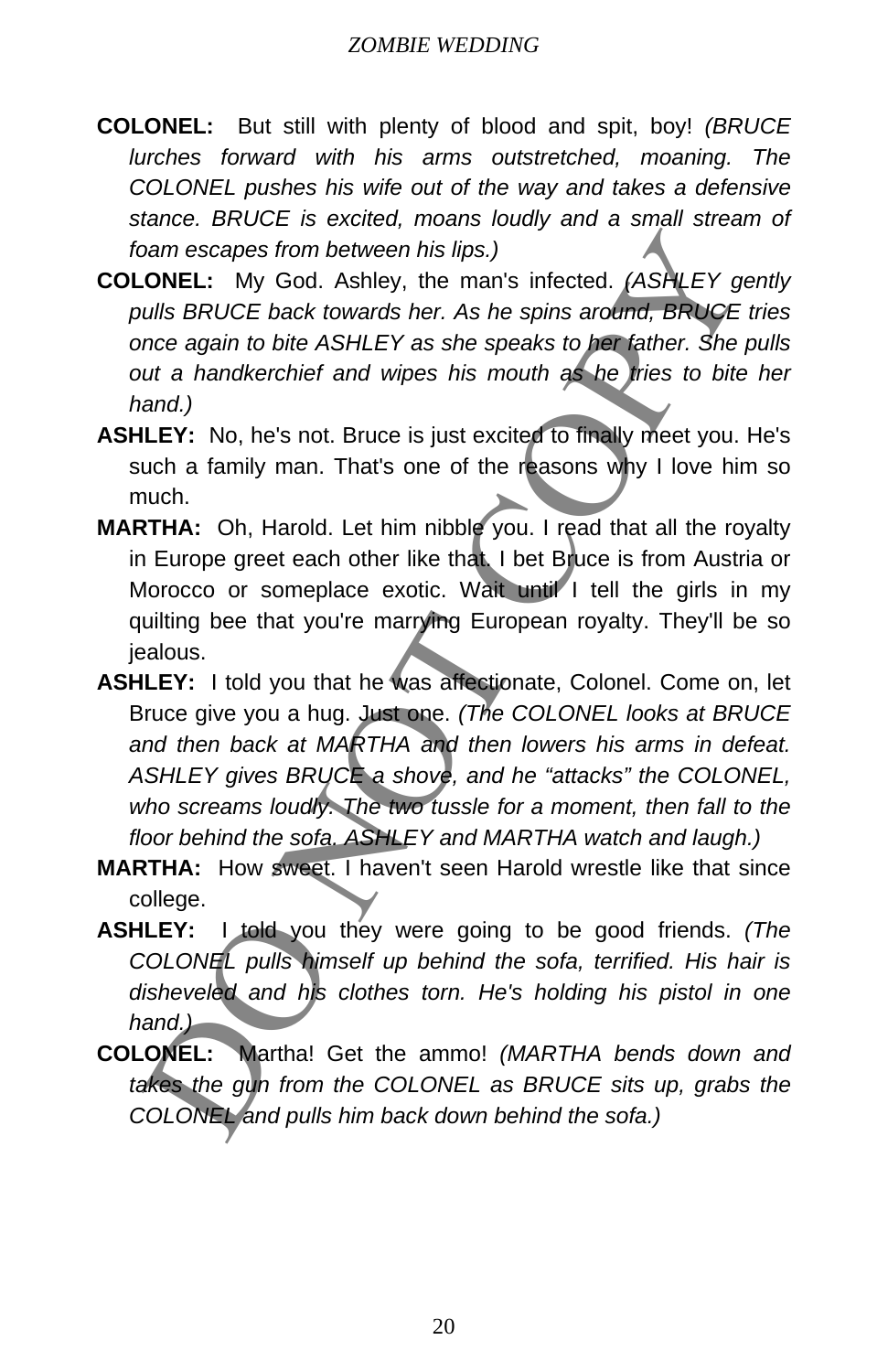- **COLONEL:** But still with plenty of blood and spit, boy! *(BRUCE lurches forward with his arms outstretched, moaning. The COLONEL pushes his wife out of the way and takes a defensive stance. BRUCE is excited, moans loudly and a small stream of foam escapes from between his lips.)*
- **COLONEL:** My God. Ashley, the man's infected. *(ASHLEY gently pulls BRUCE back towards her. As he spins around, BRUCE tries once again to bite ASHLEY as she speaks to her father. She pulls out a handkerchief and wipes his mouth as he tries to bite her hand.)*
- **ASHLEY:** No, he's not. Bruce is just excited to finally meet you. He's such a family man. That's one of the reasons why I love him so much.
- **MARTHA:** Oh, Harold. Let him nibble you. I read that all the royalty in Europe greet each other like that. I bet Bruce is from Austria or Morocco or someplace exotic. Wait until I tell the girls in my quilting bee that you're marrying European royalty. They'll be so jealous.
- **ASHLEY:** I told you that he was affectionate, Colonel. Come on, let Bruce give you a hug. Just one. *(The COLONEL looks at BRUCE and then back at MARTHA and then lowers his arms in defeat. ASHLEY gives BRUCE a shove, and he "attacks" the COLONEL, who screams loudly. The two tussle for a moment, then fall to the floor behind the sofa. ASHLEY and MARTHA watch and laugh.)* bannescapes from between his lips.)<br>
DONEL: My God. Ashley, the man's infected. (ASHLEY of<br>
ults BRUCE back towards ther. As he spins around, BRUCE with<br>
the a handkerchief and wipes his mouth as he first of bit<br>
ut a hand
- **MARTHA:** How sweet. I haven't seen Harold wrestle like that since college.
- **ASHLEY:** I told you they were going to be good friends. *(The COLONEL pulls himself up behind the sofa, terrified. His hair is disheveled and his clothes torn. He's holding his pistol in one hand.)*
- **COLONEL:** Martha! Get the ammo! *(MARTHA bends down and takes the gun from the COLONEL as BRUCE sits up, grabs the COLONEL and pulls him back down behind the sofa.)*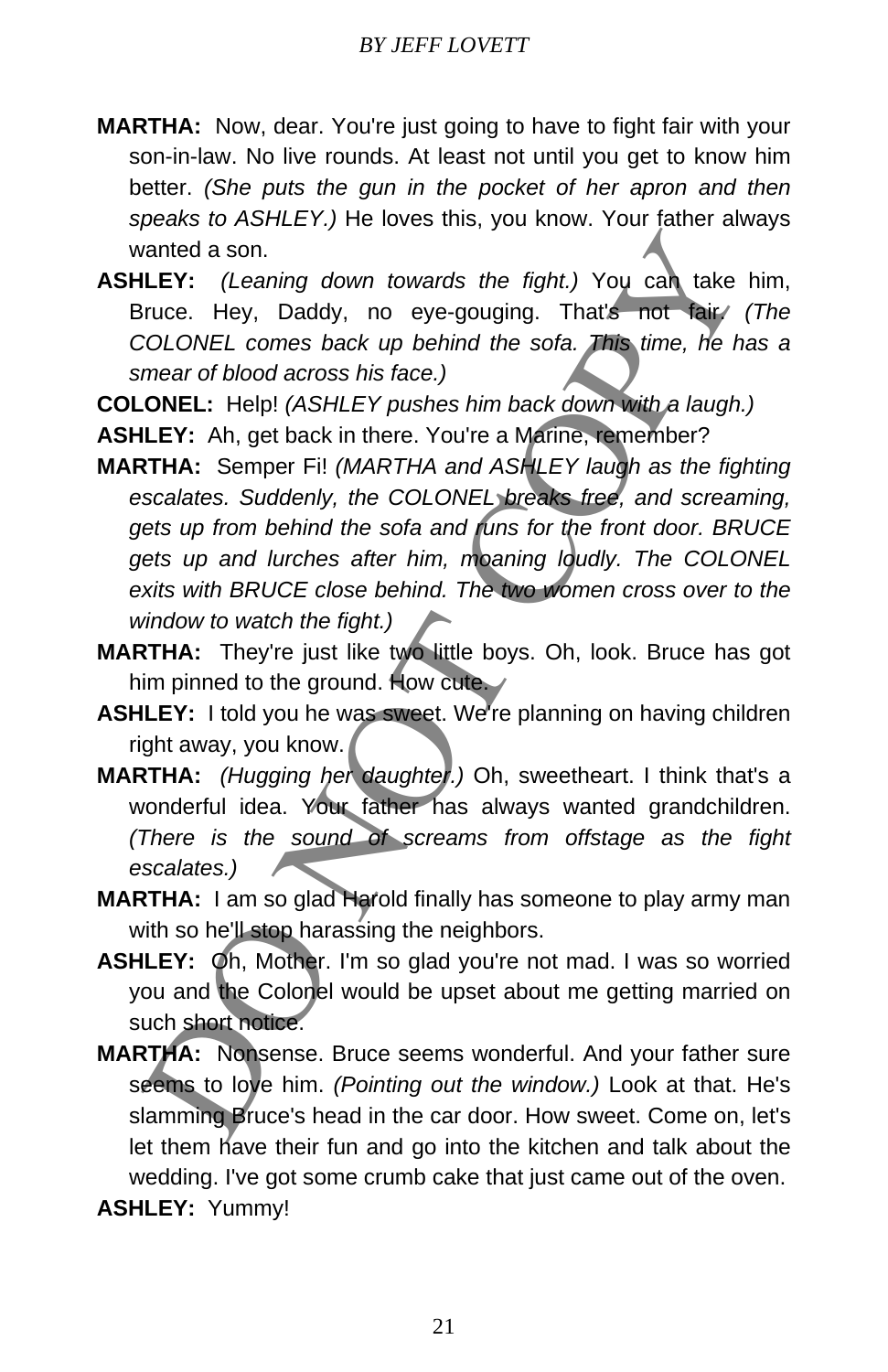- **MARTHA:** Now, dear. You're just going to have to fight fair with your son-in-law. No live rounds. At least not until you get to know him better. *(She puts the gun in the pocket of her apron and then speaks to ASHLEY.)* He loves this, you know. Your father always wanted a son.
- **ASHLEY:** *(Leaning down towards the fight.)* You can take him, Bruce. Hey, Daddy, no eye-gouging. That's not fair. *(The COLONEL comes back up behind the sofa. This time, he has a smear of blood across his face.)*
- **COLONEL:** Help! *(ASHLEY pushes him back down with a laugh.)*
- **ASHLEY:** Ah, get back in there. You're a Marine, remember?
- **MARTHA:** Semper Fi! *(MARTHA and ASHLEY laugh as the fighting escalates. Suddenly, the COLONEL breaks free, and screaming, gets up from behind the sofa and runs for the front door. BRUCE gets up and lurches after him, moaning loudly. The COLONEL exits with BRUCE close behind. The two women cross over to the window to watch the fight.)* intered a son.<br>
LEY: (Leaning down towards the fight.) You can take<br>
increase Hey, Daddy, no eye-gouging. That's not take<br>
COLONEL comes back up behind the sofa. This time, the h<br>
mear of blood across his face.)<br>
ONEL: Hel
- **MARTHA:** They're just like two little boys. Oh, look. Bruce has got him pinned to the ground. How cute.
- **ASHLEY:** I told you he was sweet. We're planning on having children right away, you know.
- **MARTHA:** *(Hugging her daughter.)* Oh, sweetheart. I think that's a wonderful idea. Your father has always wanted grandchildren. *(There is the sound of screams from offstage as the fight escalates.)*
- **MARTHA:** I am so glad Harold finally has someone to play army man with so he'll stop harassing the neighbors.
- **ASHLEY:** Oh, Mother. I'm so glad you're not mad. I was so worried you and the Colonel would be upset about me getting married on such short notice.
- **MARTHA:** Nonsense. Bruce seems wonderful. And your father sure seems to love him. *(Pointing out the window.)* Look at that. He's slamming Bruce's head in the car door. How sweet. Come on, let's let them have their fun and go into the kitchen and talk about the wedding. I've got some crumb cake that just came out of the oven. **ASHLEY:** Yummy!